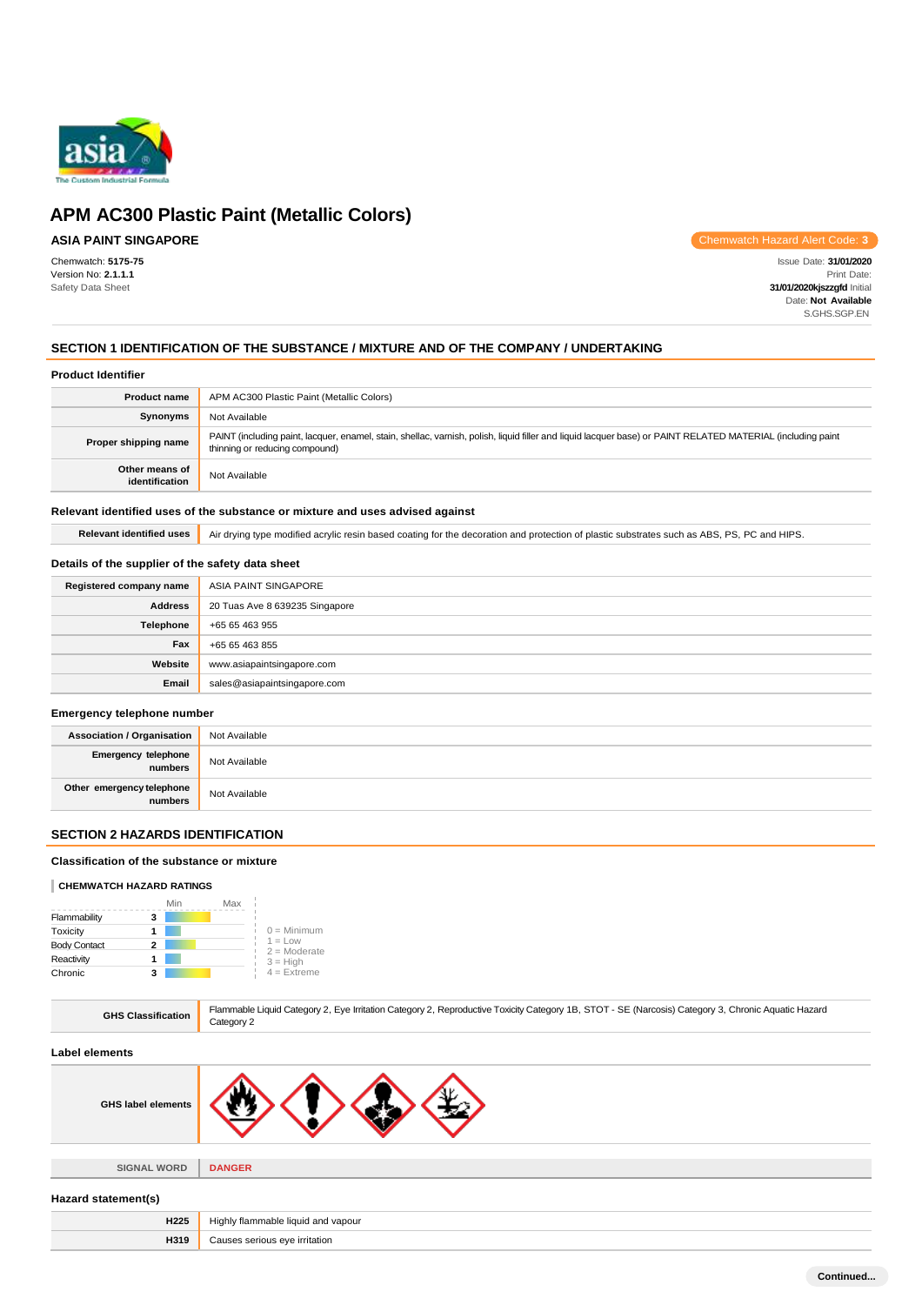

# **ASIA PAINT SINGAPORE**

Chemwatch: **5175-75** Version No: **2.1.1.1** Safety Data Sheet

Chemwatch Hazard Alert Code: **3**

Issue Date: **31/01/2020** Print Date: **31/01/2020kjszzgfd** Initial Date: **Not Available** S.GHS.SGP.EN

# **SECTION 1 IDENTIFICATION OF THE SUBSTANCE / MIXTURE AND OF THE COMPANY / UNDERTAKING**

## **Product Identifier**

| <b>Product name</b>              | APM AC300 Plastic Paint (Metallic Colors)                                                                                                                                                     |
|----------------------------------|-----------------------------------------------------------------------------------------------------------------------------------------------------------------------------------------------|
| Synonyms                         | Not Available                                                                                                                                                                                 |
| Proper shipping name             | PAINT (including paint, lacquer, enamel, stain, shellac, varnish, polish, liquid filler and liquid lacquer base) or PAINT RELATED MATERIAL (including paint<br>thinning or reducing compound) |
| Other means of<br>identification | Not Available                                                                                                                                                                                 |
|                                  |                                                                                                                                                                                               |

#### **Relevant identified uses of the substance or mixture and uses advised against**

Relevant identified uses **Air drying type modified acrylic resin based coating for the decoration and protection of plastic substrates such as ABS, PS, PC and HIPS.** 

#### **Details of the supplier of the safety data sheet**

| Registered company name | ASIA PAINT SINGAPORE           |
|-------------------------|--------------------------------|
| <b>Address</b>          | 20 Tuas Ave 8 639235 Singapore |
| Telephone               | +65 65 463 955                 |
| Fax                     | +65 65 463 855                 |
| Website                 | www.asiapaintsingapore.com     |
| Email                   | sales@asiapaintsingapore.com   |

#### **Emergency telephone number**

| <b>Association / Organisation</b>    | Not Available |
|--------------------------------------|---------------|
| Emergency telephone<br>numbers       | Not Available |
| Other emergency telephone<br>numbers | Not Available |

# **SECTION 2 HAZARDS IDENTIFICATION**

## **Classification of the substance or mixture**

#### **CHEMWATCH HAZARD RATINGS**

|                     | Min | Max |                             |
|---------------------|-----|-----|-----------------------------|
| Flammability        | 3   |     |                             |
| Toxicity            |     |     | $0 =$ Minimum               |
| <b>Body Contact</b> | 2   |     | $1 = Low$<br>$2 =$ Moderate |
| Reactivity          |     |     | $3 = High$                  |
| Chronic             | 3   |     | $4$ = Extreme               |

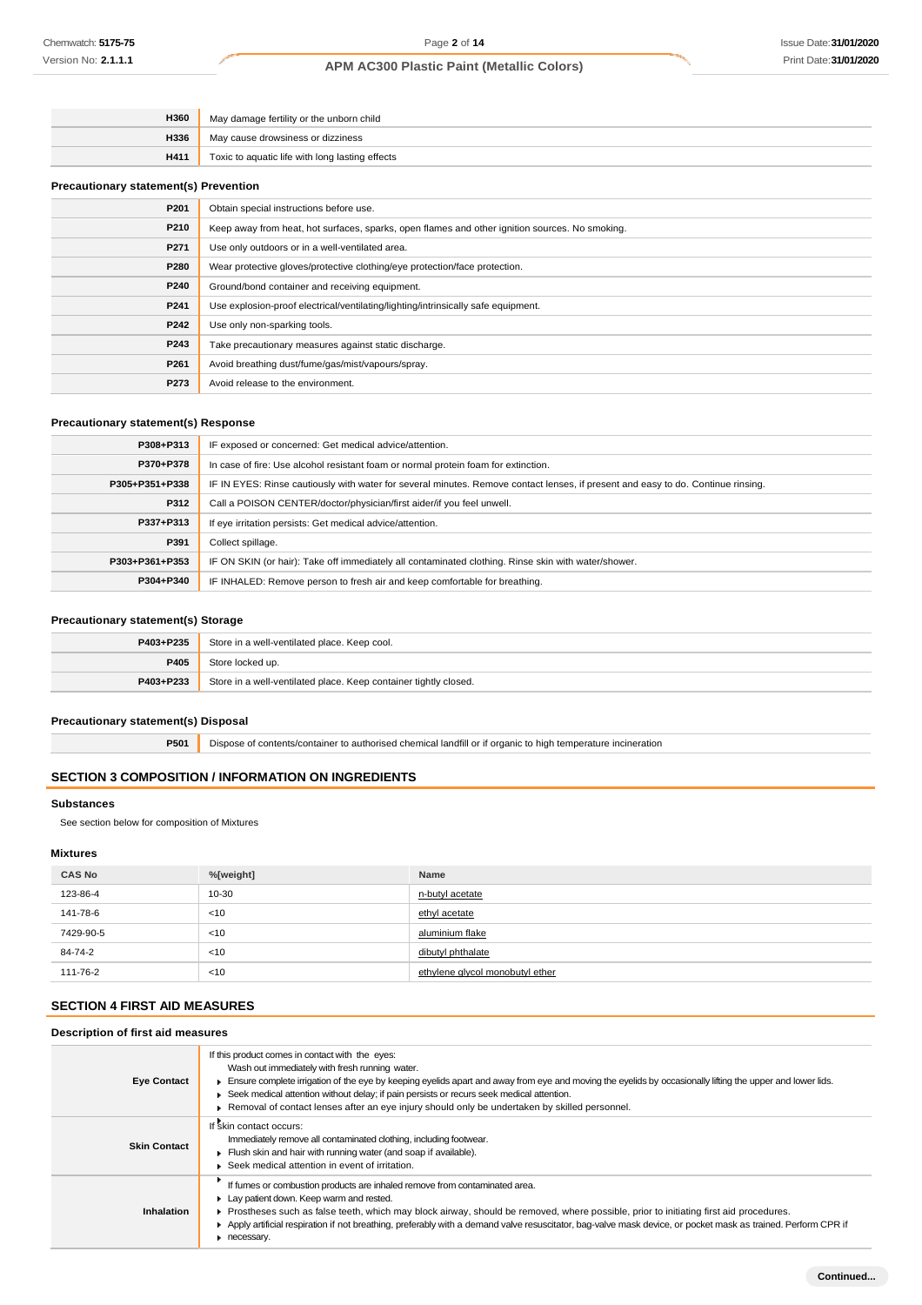| H360                                         | May damage fertility or the unborn child                                                       |  |
|----------------------------------------------|------------------------------------------------------------------------------------------------|--|
| H336                                         | May cause drowsiness or dizziness                                                              |  |
| H411                                         | Toxic to aquatic life with long lasting effects                                                |  |
| <b>Precautionary statement(s) Prevention</b> |                                                                                                |  |
| P201                                         | Obtain special instructions before use.                                                        |  |
| P210                                         | Keep away from heat, hot surfaces, sparks, open flames and other ignition sources. No smoking. |  |
| P271                                         | Use only outdoors or in a well-ventilated area.                                                |  |
| P280                                         | Wear protective gloves/protective clothing/eye protection/face protection.                     |  |
| P240                                         | Ground/bond container and receiving equipment.                                                 |  |
| P241                                         | Use explosion-proof electrical/ventilating/lighting/intrinsically safe equipment.              |  |
| P242                                         | Use only non-sparking tools.                                                                   |  |
| P243                                         | Take precautionary measures against static discharge.                                          |  |
| P261                                         | Avoid breathing dust/fume/gas/mist/vapours/spray.                                              |  |
| P273                                         | Avoid release to the environment.                                                              |  |

# **Precautionary statement(s) Response**

| P308+P313      | IF exposed or concerned: Get medical advice/attention.                                                                           |
|----------------|----------------------------------------------------------------------------------------------------------------------------------|
| P370+P378      | In case of fire: Use alcohol resistant foam or normal protein foam for extinction.                                               |
| P305+P351+P338 | IF IN EYES: Rinse cautiously with water for several minutes. Remove contact lenses, if present and easy to do. Continue rinsing. |
| P312           | Call a POISON CENTER/doctor/physician/first aider/if you feel unwell.                                                            |
| P337+P313      | If eye irritation persists: Get medical advice/attention.                                                                        |
| P391           | Collect spillage.                                                                                                                |
| P303+P361+P353 | IF ON SKIN (or hair): Take off immediately all contaminated clothing. Rinse skin with water/shower.                              |
| P304+P340      | IF INHALED: Remove person to fresh air and keep comfortable for breathing.                                                       |

# **Precautionary statement(s) Storage**

| P403+P235 | Store in a well-ventilated place. Keep cool.                     |
|-----------|------------------------------------------------------------------|
| P405      | Store locked up.                                                 |
| P403+P233 | Store in a well-ventilated place. Keep container tightly closed. |

# **Precautionary statement(s) Disposal**

**P501** Dispose of contents/container to authorised chemical landfill or if organic to high temperature incineration

# **SECTION 3 COMPOSITION / INFORMATION ON INGREDIENTS**

## **Substances**

See section below for composition of Mixtures

# **Mixtures**

| <b>CAS No</b> | %[weight] | Name                            |
|---------------|-----------|---------------------------------|
| 123-86-4      | 10-30     | n-butyl acetate                 |
| 141-78-6      | < 10      | ethyl acetate                   |
| 7429-90-5     | < 10      | aluminium flake                 |
| 84-74-2       | < 10      | dibutyl phthalate               |
| 111-76-2      | <10       | ethylene glycol monobutyl ether |

# **SECTION 4 FIRST AID MEASURES**

# **Description of first aid measures**

| If this product comes in contact with the eyes:<br>Wash out immediately with fresh running water.<br>Ensure complete irrigation of the eye by keeping eyelids apart and away from eye and moving the eyelids by occasionally lifting the upper and lower lids.<br>Seek medical attention without delay; if pain persists or recurs seek medical attention.<br>▶ Removal of contact lenses after an eye injury should only be undertaken by skilled personnel. |
|---------------------------------------------------------------------------------------------------------------------------------------------------------------------------------------------------------------------------------------------------------------------------------------------------------------------------------------------------------------------------------------------------------------------------------------------------------------|
| If skin contact occurs:<br>Immediately remove all contaminated clothing, including footwear.<br>Flush skin and hair with running water (and soap if available).<br>Seek medical attention in event of irritation.                                                                                                                                                                                                                                             |
| If fumes or combustion products are inhaled remove from contaminated area.<br>Lay patient down. Keep warm and rested.<br>Prostheses such as false teeth, which may block airway, should be removed, where possible, prior to initiating first aid procedures.<br>Apply artificial respiration if not breathing, preferably with a demand valve resuscitator, bag-valve mask device, or pocket mask as trained. Perform CPR if<br>necessary.                   |
|                                                                                                                                                                                                                                                                                                                                                                                                                                                               |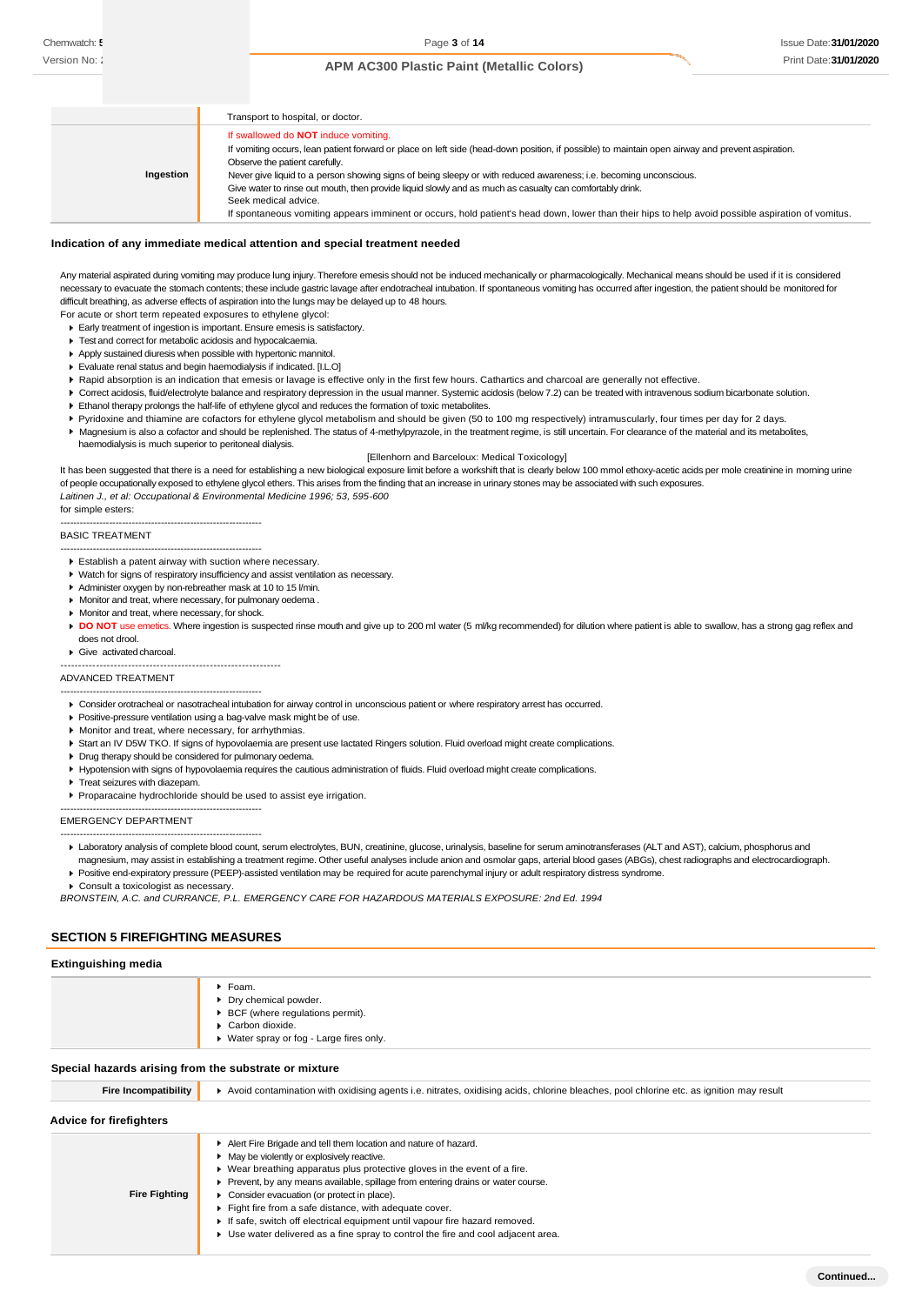|           | Transport to hospital, or doctor.                                                                                                                                                                                                                                                                                                                      |
|-----------|--------------------------------------------------------------------------------------------------------------------------------------------------------------------------------------------------------------------------------------------------------------------------------------------------------------------------------------------------------|
| Ingestion | If swallowed do <b>NOT</b> induce vomiting.<br>If vomiting occurs, lean patient forward or place on left side (head-down position, if possible) to maintain open airway and prevent aspiration.<br>Observe the patient carefully.<br>Never give liquid to a person showing signs of being sleepy or with reduced awareness; i.e. becoming unconscious. |
|           | Give water to rinse out mouth, then provide liquid slowly and as much as casualty can comfortably drink.<br>Seek medical advice.<br>If spontaneous vomiting appears imminent or occurs, hold patient's head down, lower than their hips to help avoid possible aspiration of vomitus.                                                                  |

#### **Indication of any immediate medical attention and special treatment needed**

Any material aspirated during vomiting may produce lung injury. Therefore emesis should not be induced mechanically or pharmacologically. Mechanical means should be used if it is considered necessary to evacuate the stomach contents; these include gastric lavage after endotracheal intubation. If spontaneous vomiting has occurred after ingestion, the patient should be monitored for difficult breathing, as adverse effects of aspiration into the lungs may be delayed up to 48 hours.

For acute or short term repeated exposures to ethylene glycol:

- Early treatment of ingestion is important. Ensure emesis is satisfactory.
- **Test and correct for metabolic acidosis and hypocalcaemia.** Apply sustained diuresis when possible with hypertonic mannitol.
- Evaluate renal status and begin haemodialysis if indicated. [I.L.O]
- Rapid absorption is an indication that emesis or lavage is effective only in the first few hours. Cathartics and charcoal are generally not effective.
- ▶ Correct acidosis, fluid/electrolyte balance and respiratory depression in the usual manner. Systemic acidosis (below 7.2) can be treated with intravenous sodium bicarbonate solution.
- Ethanol therapy prolongs the half-life of ethylene glycol and reduces the formation of toxic metabolites.
- Pyridoxine and thiamine are cofactors for ethylene glycol metabolism and should be given (50 to 100 mg respectively) intramuscularly, four times per day for 2 days.
- Magnesium is also a cofactor and should be replenished. The status of 4-methylpyrazole, in the treatment regime, is still uncertain. For clearance of the material and its metabolites,
	- haemodialysis is much superior to peritoneal dialysis.

[Ellenhorn and Barceloux: Medical Toxicology] It has been suggested that there is a need for establishing a new biological exposure limit before a workshift that is clearly below 100 mmol ethoxy-acetic acids per mole creatinine in morning urine of people occupationally exposed to ethylene glycol ethers. This arises from the finding that an increase in urinary stones may be associated with such exposures. *Laitinen J., et al: Occupational & Environmental Medicine 1996; 53, 595-600*

for simple esters:

#### BASIC TREATMENT

-------------------------------------------------------------- Establish a patent airway with suction where necessary.

--------------------------------------------------------------

- Watch for signs of respiratory insufficiency and assist ventilation as necessary.
- Administer oxygen by non-rebreather mask at 10 to 15 l/min.
- Monitor and treat, where necessary, for pulmonary oedema .
- Monitor and treat, where necessary, for shock.
- DO NOT use emetics. Where ingestion is suspected rinse mouth and give up to 200 ml water (5 ml/kg recommended) for dilution where patient is able to swallow, has a strong gag reflex and does not drool.
- Give activated charcoal.

--------------------------------------------------------------

--------------------------------------------------------------

#### ADVANCED TREATMENT

- Consider orotracheal or nasotracheal intubation for airway control in unconscious patient or where respiratory arrest has occurred.
- Positive-pressure ventilation using a bag-valve mask might be of use.
- **Monitor and treat, where necessary, for arrhythmias**
- Start an IV D5W TKO. If signs of hypovolaemia are present use lactated Ringers solution. Fluid overload might create complications.
- **Drug therapy should be considered for pulmonary oedema.**
- Hypotension with signs of hypovolaemia requires the cautious administration of fluids. Fluid overload might create complications.
- **F** Treat seizures with diazepam.
- Proparacaine hydrochloride should be used to assist eye irrigation.

EMERGENCY DEPARTMENT

- -------------------------------------------------------------- Laboratory analysis of complete blood count, serum electrolytes, BUN, creatinine, glucose, urinalysis, baseline for serum aminotransferases (ALT and AST), calcium, phosphorus and magnesium, may assist in establishing a treatment regime. Other useful analyses include anion and osmolar gaps, arterial blood gases (ABGs), chest radiographs and electrocardiograph.
- Positive end-expiratory pressure (PEEP)-assisted ventilation may be required for acute parenchymal injury or adult respiratory distress syndrome.

 $\blacktriangleright$  Consult a toxicologist as neces

--------------------------------------------------------------

*BRONSTEIN, A.C. and CURRANCE, P.L. EMERGENCY CARE FOR HAZARDOUS MATERIALS EXPOSURE: 2nd Ed. 1994*

#### **SECTION 5 FIREFIGHTING MEASURES**

| <b>Extinguishing media</b> |  |  |
|----------------------------|--|--|
|----------------------------|--|--|

|                                                       | $\blacktriangleright$ Foam.<br>Dry chemical powder.<br>▶ BCF (where regulations permit).<br>Carbon dioxide.                            |  |
|-------------------------------------------------------|----------------------------------------------------------------------------------------------------------------------------------------|--|
|                                                       | ▶ Water spray or fog - Large fires only.                                                                                               |  |
| Special hazards arising from the substrate or mixture |                                                                                                                                        |  |
| <b>Fire Incompatibility</b>                           | Avoid contamination with oxidising agents i.e. nitrates, oxidising acids, chlorine bleaches, pool chlorine etc. as ignition may result |  |
| <b>Advice for firefighters</b>                        |                                                                                                                                        |  |
|                                                       | Alert Fire Brigade and tell them location and nature of hazard.                                                                        |  |
|                                                       | • May be violently or explosively reactive.                                                                                            |  |
|                                                       | ▶ Wear breathing apparatus plus protective gloves in the event of a fire.                                                              |  |
|                                                       | • Prevent, by any means available, spillage from entering drains or water course.                                                      |  |
| <b>Fire Fighting</b>                                  | Consider evacuation (or protect in place).                                                                                             |  |
|                                                       | Fight fire from a safe distance, with adequate cover.                                                                                  |  |
|                                                       | If safe, switch off electrical equipment until vapour fire hazard removed.                                                             |  |
|                                                       | ► Use water delivered as a fine spray to control the fire and cool adjacent area.                                                      |  |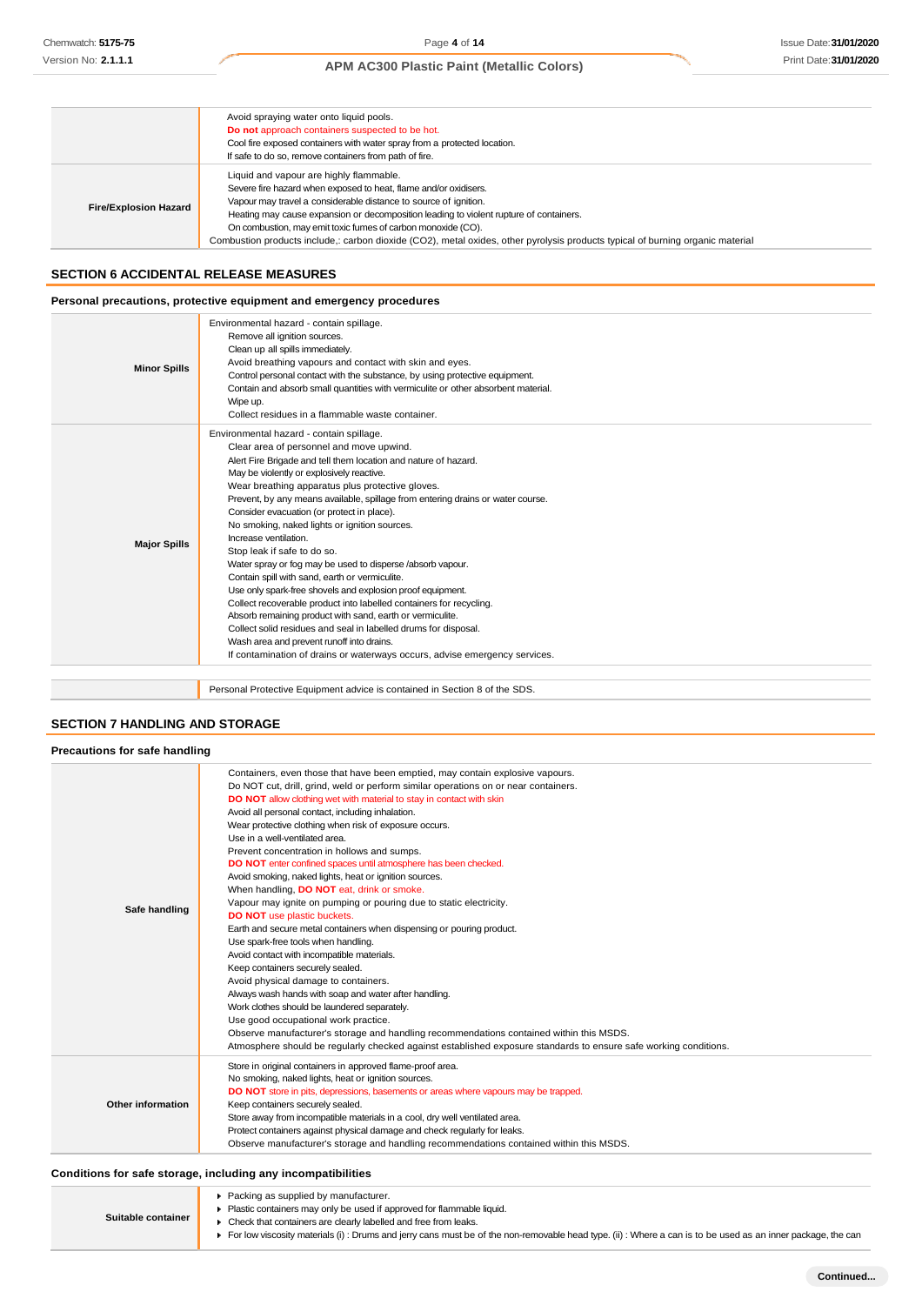|                              | Avoid spraying water onto liquid pools.<br>Do not approach containers suspected to be hot.<br>Cool fire exposed containers with water spray from a protected location.<br>If safe to do so, remove containers from path of fire.                                                                                                                                                                                                                                            |
|------------------------------|-----------------------------------------------------------------------------------------------------------------------------------------------------------------------------------------------------------------------------------------------------------------------------------------------------------------------------------------------------------------------------------------------------------------------------------------------------------------------------|
| <b>Fire/Explosion Hazard</b> | Liquid and vapour are highly flammable.<br>Severe fire hazard when exposed to heat, flame and/or oxidisers.<br>Vapour may travel a considerable distance to source of ignition.<br>Heating may cause expansion or decomposition leading to violent rupture of containers.<br>On combustion, may emit toxic fumes of carbon monoxide (CO).<br>Combustion products include,: carbon dioxide (CO2), metal oxides, other pyrolysis products typical of burning organic material |

## **SECTION 6 ACCIDENTAL RELEASE MEASURES**

## **Personal precautions, protective equipment and emergency procedures**

| <b>Minor Spills</b> | Environmental hazard - contain spillage.<br>Remove all ignition sources.<br>Clean up all spills immediately.<br>Avoid breathing vapours and contact with skin and eyes.<br>Control personal contact with the substance, by using protective equipment.<br>Contain and absorb small quantities with vermiculite or other absorbent material.<br>Wipe up.<br>Collect residues in a flammable waste container.                                                                                                                                                                                                                                                                                                                                                                                                                                                                                                                                                                                                        |
|---------------------|--------------------------------------------------------------------------------------------------------------------------------------------------------------------------------------------------------------------------------------------------------------------------------------------------------------------------------------------------------------------------------------------------------------------------------------------------------------------------------------------------------------------------------------------------------------------------------------------------------------------------------------------------------------------------------------------------------------------------------------------------------------------------------------------------------------------------------------------------------------------------------------------------------------------------------------------------------------------------------------------------------------------|
| <b>Major Spills</b> | Environmental hazard - contain spillage.<br>Clear area of personnel and move upwind.<br>Alert Fire Brigade and tell them location and nature of hazard.<br>May be violently or explosively reactive.<br>Wear breathing apparatus plus protective gloves.<br>Prevent, by any means available, spillage from entering drains or water course.<br>Consider evacuation (or protect in place).<br>No smoking, naked lights or ignition sources.<br>Increase ventilation.<br>Stop leak if safe to do so.<br>Water spray or fog may be used to disperse /absorb vapour.<br>Contain spill with sand, earth or vermiculite.<br>Use only spark-free shovels and explosion proof equipment.<br>Collect recoverable product into labelled containers for recycling.<br>Absorb remaining product with sand, earth or vermiculite.<br>Collect solid residues and seal in labelled drums for disposal.<br>Wash area and prevent runoff into drains.<br>If contamination of drains or waterways occurs, advise emergency services. |

Personal Protective Equipment advice is contained in Section 8 of the SDS.

# **SECTION 7 HANDLING AND STORAGE**

| Precautions for safe handling |                                                                                                                                                                                                                                                                                                                                                                                                                                                                                                                                                                                                                                                                                                                                                                                                                                                                                                                                                                                                                                                                                                                                                                                                                                                                                                                                               |
|-------------------------------|-----------------------------------------------------------------------------------------------------------------------------------------------------------------------------------------------------------------------------------------------------------------------------------------------------------------------------------------------------------------------------------------------------------------------------------------------------------------------------------------------------------------------------------------------------------------------------------------------------------------------------------------------------------------------------------------------------------------------------------------------------------------------------------------------------------------------------------------------------------------------------------------------------------------------------------------------------------------------------------------------------------------------------------------------------------------------------------------------------------------------------------------------------------------------------------------------------------------------------------------------------------------------------------------------------------------------------------------------|
| Safe handling                 | Containers, even those that have been emptied, may contain explosive vapours.<br>Do NOT cut, drill, grind, weld or perform similar operations on or near containers.<br>DO NOT allow clothing wet with material to stay in contact with skin<br>Avoid all personal contact, including inhalation.<br>Wear protective clothing when risk of exposure occurs.<br>Use in a well-ventilated area.<br>Prevent concentration in hollows and sumps.<br>DO NOT enter confined spaces until atmosphere has been checked.<br>Avoid smoking, naked lights, heat or ignition sources.<br>When handling, DO NOT eat, drink or smoke.<br>Vapour may ignite on pumping or pouring due to static electricity.<br><b>DO NOT</b> use plastic buckets.<br>Earth and secure metal containers when dispensing or pouring product.<br>Use spark-free tools when handling.<br>Avoid contact with incompatible materials.<br>Keep containers securely sealed.<br>Avoid physical damage to containers.<br>Always wash hands with soap and water after handling.<br>Work clothes should be laundered separately.<br>Use good occupational work practice.<br>Observe manufacturer's storage and handling recommendations contained within this MSDS.<br>Atmosphere should be regularly checked against established exposure standards to ensure safe working conditions. |
| Other information             | Store in original containers in approved flame-proof area.<br>No smoking, naked lights, heat or ignition sources.<br>DO NOT store in pits, depressions, basements or areas where vapours may be trapped.<br>Keep containers securely sealed.<br>Store away from incompatible materials in a cool, dry well ventilated area.<br>Protect containers against physical damage and check regularly for leaks.<br>Observe manufacturer's storage and handling recommendations contained within this MSDS.                                                                                                                                                                                                                                                                                                                                                                                                                                                                                                                                                                                                                                                                                                                                                                                                                                           |

## **Conditions for safe storage, including any incompatibilities**

| Suitable container | ▶ Packing as supplied by manufacturer.<br>Plastic containers may only be used if approved for flammable liquid.<br>• Check that containers are clearly labelled and free from leaks.<br>For low viscosity materials (i) : Drums and jerry cans must be of the non-removable head type. (ii) : Where a can is to be used as an inner package, the can |
|--------------------|------------------------------------------------------------------------------------------------------------------------------------------------------------------------------------------------------------------------------------------------------------------------------------------------------------------------------------------------------|
|--------------------|------------------------------------------------------------------------------------------------------------------------------------------------------------------------------------------------------------------------------------------------------------------------------------------------------------------------------------------------------|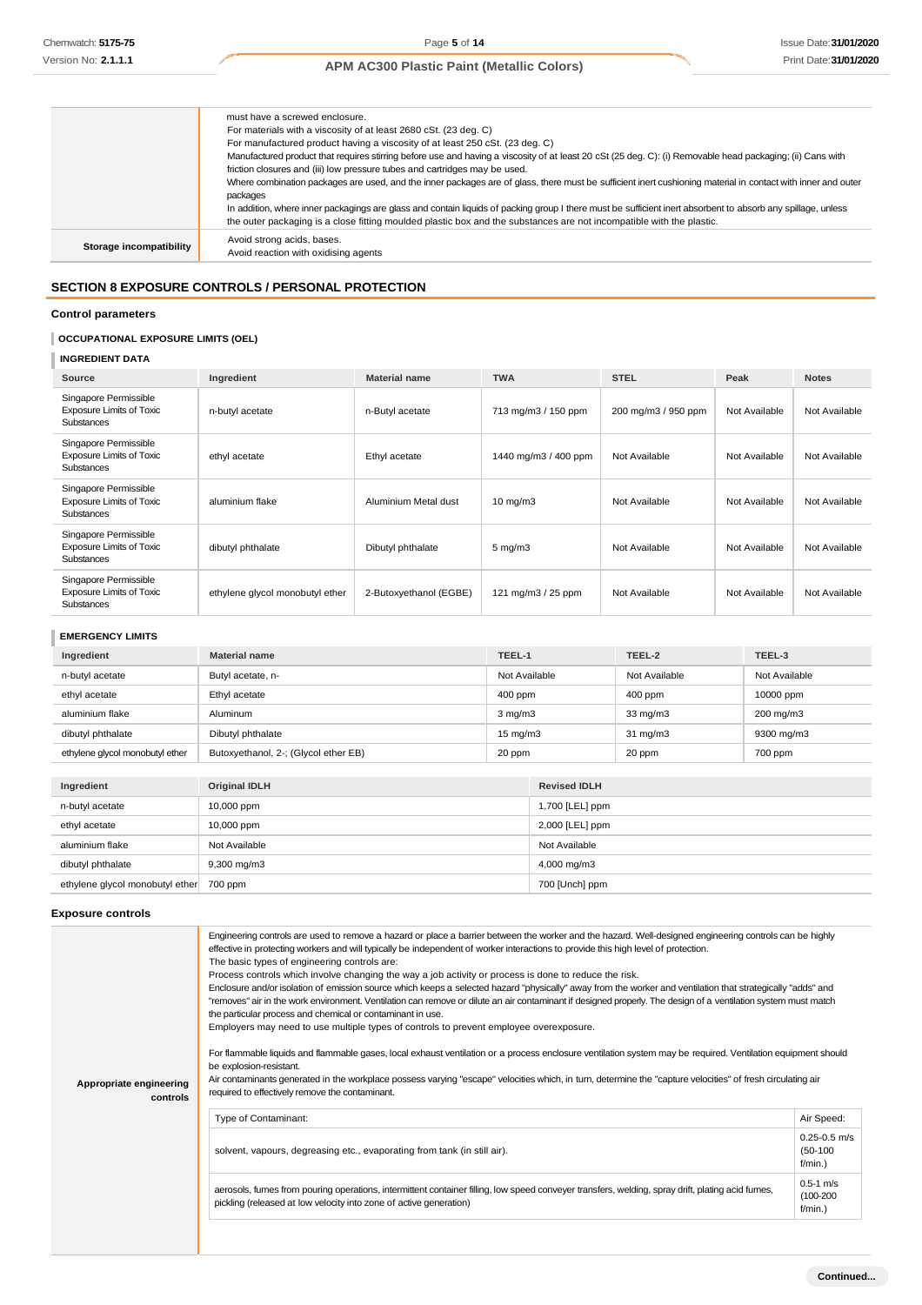|                         | must have a screwed enclosure.                                                                                                                               |
|-------------------------|--------------------------------------------------------------------------------------------------------------------------------------------------------------|
|                         | For materials with a viscosity of at least 2680 cSt. (23 deg. C)                                                                                             |
|                         | For manufactured product having a viscosity of at least 250 cSt. (23 deg. C)                                                                                 |
|                         | Manufactured product that requires stirring before use and having a viscosity of at least 20 cSt (25 deg. C): (i) Removable head packaging; (ii) Cans with   |
|                         | friction closures and (iii) low pressure tubes and cartridges may be used.                                                                                   |
|                         | Where combination packages are used, and the inner packages are of glass, there must be sufficient inert cushioning material in contact with inner and outer |
|                         | packages                                                                                                                                                     |
|                         | In addition, where inner packagings are glass and contain liquids of packing group I there must be sufficient inert absorbent to absorb any spillage, unless |
|                         | the outer packaging is a close fitting moulded plastic box and the substances are not incompatible with the plastic.                                         |
| Storage incompatibility | Avoid strong acids, bases.<br>Avoid reaction with oxidising agents                                                                                           |

# **SECTION 8 EXPOSURE CONTROLS / PERSONAL PROTECTION**

# **Control parameters**

# **OCCUPATIONAL EXPOSURE LIMITS (OEL)**

# **INGREDIENT DATA**

| Source                                                                        | Ingredient                      | <b>Material name</b>   | <b>TWA</b>           | <b>STEL</b>         | Peak          | <b>Notes</b>  |
|-------------------------------------------------------------------------------|---------------------------------|------------------------|----------------------|---------------------|---------------|---------------|
| Singapore Permissible<br><b>Exposure Limits of Toxic</b><br><b>Substances</b> | n-butyl acetate                 | n-Butyl acetate        | 713 mg/m3 / 150 ppm  | 200 mg/m3 / 950 ppm | Not Available | Not Available |
| Singapore Permissible<br><b>Exposure Limits of Toxic</b><br><b>Substances</b> | ethyl acetate                   | Ethyl acetate          | 1440 mg/m3 / 400 ppm | Not Available       | Not Available | Not Available |
| Singapore Permissible<br><b>Exposure Limits of Toxic</b><br>Substances        | aluminium flake                 | Aluminium Metal dust   | $10 \text{ mg/m}$    | Not Available       | Not Available | Not Available |
| Singapore Permissible<br><b>Exposure Limits of Toxic</b><br>Substances        | dibutyl phthalate               | Dibutyl phthalate      | $5 \text{ mg/m}$ 3   | Not Available       | Not Available | Not Available |
| Singapore Permissible<br><b>Exposure Limits of Toxic</b><br><b>Substances</b> | ethylene glycol monobutyl ether | 2-Butoxyethanol (EGBE) | 121 mg/m $3/25$ ppm  | Not Available       | Not Available | Not Available |

# **EMERGENCY LIMITS**

| Ingredient                      | <b>Material name</b>                 | TEEL-1            | TEEL-2            | TEEL-3        |
|---------------------------------|--------------------------------------|-------------------|-------------------|---------------|
| n-butyl acetate                 | Butyl acetate, n-                    | Not Available     | Not Available     | Not Available |
| ethyl acetate                   | Ethyl acetate                        | $400$ ppm         | $400$ ppm         | 10000 ppm     |
| aluminium flake                 | Aluminum                             | $3 \text{ mg/m}$  | $33 \text{ mg/m}$ | 200 mg/m3     |
| dibutyl phthalate               | Dibutyl phthalate                    | $15 \text{ mg/m}$ | $31 \text{ mg/m}$ | 9300 mg/m3    |
| ethylene glycol monobutyl ether | Butoxyethanol, 2-; (Glycol ether EB) | 20 ppm            | 20 ppm            | 700 ppm       |

| Ingredient                              | Original IDLH        | <b>Revised IDLH</b> |
|-----------------------------------------|----------------------|---------------------|
| n-butyl acetate                         | 10,000 ppm           | 1,700 [LEL] ppm     |
| ethyl acetate                           | 10,000 ppm           | $2,000$ [LEL] ppm   |
| aluminium flake                         | Not Available        | Not Available       |
| dibutyl phthalate                       | $9,300 \text{ mg/m}$ | 4,000 mg/m3         |
| ethylene glycol monobutyl ether 700 ppm |                      | 700 [Unch] ppm      |

## **Exposure controls**

| Appropriate engineering<br>controls | Engineering controls are used to remove a hazard or place a barrier between the worker and the hazard. Well-designed engineering controls can be highly<br>effective in protecting workers and will typically be independent of worker interactions to provide this high level of protection.<br>The basic types of engineering controls are:<br>Process controls which involve changing the way a job activity or process is done to reduce the risk.<br>Enclosure and/or isolation of emission source which keeps a selected hazard "physically" away from the worker and ventilation that strategically "adds" and<br>"removes" air in the work environment. Ventilation can remove or dilute an air contaminant if designed properly. The design of a ventilation system must match<br>the particular process and chemical or contaminant in use.<br>Employers may need to use multiple types of controls to prevent employee overexposure.<br>For flammable liquids and flammable gases, local exhaust ventilation or a process enclosure ventilation system may be required. Ventilation equipment should<br>be explosion-resistant.<br>Air contaminants generated in the workplace possess varying "escape" velocities which, in turn, determine the "capture velocities" of fresh circulating air<br>required to effectively remove the contaminant. |                                              |  |
|-------------------------------------|--------------------------------------------------------------------------------------------------------------------------------------------------------------------------------------------------------------------------------------------------------------------------------------------------------------------------------------------------------------------------------------------------------------------------------------------------------------------------------------------------------------------------------------------------------------------------------------------------------------------------------------------------------------------------------------------------------------------------------------------------------------------------------------------------------------------------------------------------------------------------------------------------------------------------------------------------------------------------------------------------------------------------------------------------------------------------------------------------------------------------------------------------------------------------------------------------------------------------------------------------------------------------------------------------------------------------------------------------------------|----------------------------------------------|--|
|                                     | Type of Contaminant:                                                                                                                                                                                                                                                                                                                                                                                                                                                                                                                                                                                                                                                                                                                                                                                                                                                                                                                                                                                                                                                                                                                                                                                                                                                                                                                                         | Air Speed:                                   |  |
|                                     | solvent, vapours, degreasing etc., evaporating from tank (in still air).                                                                                                                                                                                                                                                                                                                                                                                                                                                                                                                                                                                                                                                                                                                                                                                                                                                                                                                                                                                                                                                                                                                                                                                                                                                                                     | $0.25 - 0.5$ m/s<br>$(50-100)$<br>$f/min.$ ) |  |
|                                     | aerosols, fumes from pouring operations, intermittent container filling, low speed conveyer transfers, welding, spray drift, plating acid fumes,<br>pickling (released at low velocity into zone of active generation)                                                                                                                                                                                                                                                                                                                                                                                                                                                                                                                                                                                                                                                                                                                                                                                                                                                                                                                                                                                                                                                                                                                                       |                                              |  |
|                                     |                                                                                                                                                                                                                                                                                                                                                                                                                                                                                                                                                                                                                                                                                                                                                                                                                                                                                                                                                                                                                                                                                                                                                                                                                                                                                                                                                              |                                              |  |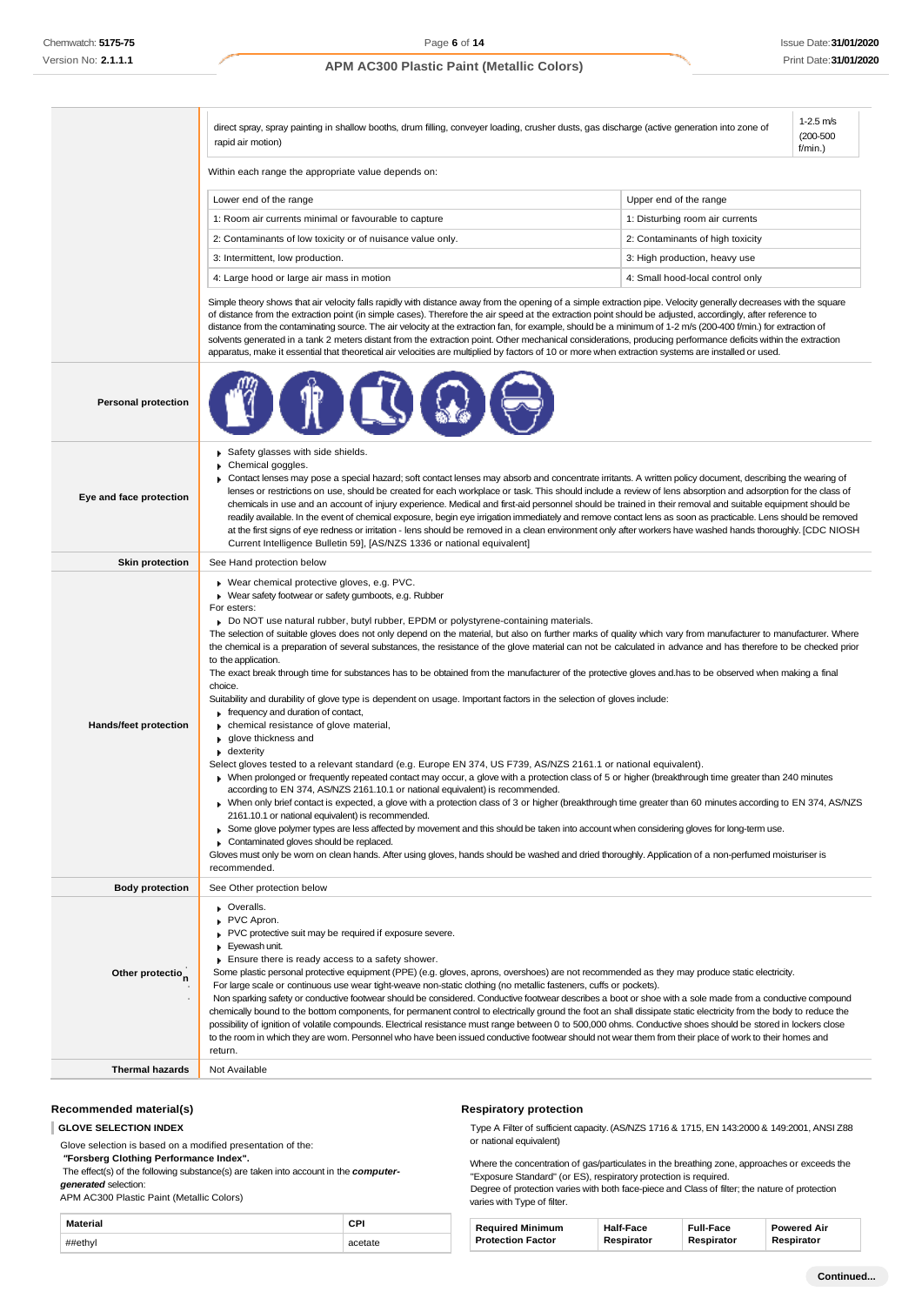|                                         | direct spray, spray painting in shallow booths, drum filling, conveyer loading, crusher dusts, gas discharge (active generation into zone of<br>rapid air motion)                                                                                                                                                                                                                                                                                                                                                                                                                                                                                                                                                                                                                                                                                                                                                                                                                                                                                                                                                                                                                                                                                                                                                                                                                                                                                                                                                                                                                                                                                                                                                                                                                                                                                                                                                                                                    |                                  | $1-2.5$ m/s<br>$(200 - 500)$<br>$f/min.$ ) |
|-----------------------------------------|----------------------------------------------------------------------------------------------------------------------------------------------------------------------------------------------------------------------------------------------------------------------------------------------------------------------------------------------------------------------------------------------------------------------------------------------------------------------------------------------------------------------------------------------------------------------------------------------------------------------------------------------------------------------------------------------------------------------------------------------------------------------------------------------------------------------------------------------------------------------------------------------------------------------------------------------------------------------------------------------------------------------------------------------------------------------------------------------------------------------------------------------------------------------------------------------------------------------------------------------------------------------------------------------------------------------------------------------------------------------------------------------------------------------------------------------------------------------------------------------------------------------------------------------------------------------------------------------------------------------------------------------------------------------------------------------------------------------------------------------------------------------------------------------------------------------------------------------------------------------------------------------------------------------------------------------------------------------|----------------------------------|--------------------------------------------|
|                                         | Within each range the appropriate value depends on:                                                                                                                                                                                                                                                                                                                                                                                                                                                                                                                                                                                                                                                                                                                                                                                                                                                                                                                                                                                                                                                                                                                                                                                                                                                                                                                                                                                                                                                                                                                                                                                                                                                                                                                                                                                                                                                                                                                  |                                  |                                            |
|                                         | Lower end of the range                                                                                                                                                                                                                                                                                                                                                                                                                                                                                                                                                                                                                                                                                                                                                                                                                                                                                                                                                                                                                                                                                                                                                                                                                                                                                                                                                                                                                                                                                                                                                                                                                                                                                                                                                                                                                                                                                                                                               | Upper end of the range           |                                            |
|                                         | 1: Room air currents minimal or favourable to capture                                                                                                                                                                                                                                                                                                                                                                                                                                                                                                                                                                                                                                                                                                                                                                                                                                                                                                                                                                                                                                                                                                                                                                                                                                                                                                                                                                                                                                                                                                                                                                                                                                                                                                                                                                                                                                                                                                                | 1: Disturbing room air currents  |                                            |
|                                         | 2: Contaminants of low toxicity or of nuisance value only.                                                                                                                                                                                                                                                                                                                                                                                                                                                                                                                                                                                                                                                                                                                                                                                                                                                                                                                                                                                                                                                                                                                                                                                                                                                                                                                                                                                                                                                                                                                                                                                                                                                                                                                                                                                                                                                                                                           | 2: Contaminants of high toxicity |                                            |
|                                         | 3: Intermittent, low production.                                                                                                                                                                                                                                                                                                                                                                                                                                                                                                                                                                                                                                                                                                                                                                                                                                                                                                                                                                                                                                                                                                                                                                                                                                                                                                                                                                                                                                                                                                                                                                                                                                                                                                                                                                                                                                                                                                                                     | 3: High production, heavy use    |                                            |
|                                         | 4: Large hood or large air mass in motion                                                                                                                                                                                                                                                                                                                                                                                                                                                                                                                                                                                                                                                                                                                                                                                                                                                                                                                                                                                                                                                                                                                                                                                                                                                                                                                                                                                                                                                                                                                                                                                                                                                                                                                                                                                                                                                                                                                            | 4: Small hood-local control only |                                            |
|                                         | Simple theory shows that air velocity falls rapidly with distance away from the opening of a simple extraction pipe. Velocity generally decreases with the square<br>of distance from the extraction point (in simple cases). Therefore the air speed at the extraction point should be adjusted, accordingly, after reference to<br>distance from the contaminating source. The air velocity at the extraction fan, for example, should be a minimum of 1-2 m/s (200-400 f/min.) for extraction of<br>solvents generated in a tank 2 meters distant from the extraction point. Other mechanical considerations, producing performance deficits within the extraction<br>apparatus, make it essential that theoretical air velocities are multiplied by factors of 10 or more when extraction systems are installed or used.                                                                                                                                                                                                                                                                                                                                                                                                                                                                                                                                                                                                                                                                                                                                                                                                                                                                                                                                                                                                                                                                                                                                         |                                  |                                            |
| <b>Personal protection</b>              |                                                                                                                                                                                                                                                                                                                                                                                                                                                                                                                                                                                                                                                                                                                                                                                                                                                                                                                                                                                                                                                                                                                                                                                                                                                                                                                                                                                                                                                                                                                                                                                                                                                                                                                                                                                                                                                                                                                                                                      |                                  |                                            |
| Eye and face protection                 | Safety glasses with side shields.<br>Chemical goggles.<br>▶ Contact lenses may pose a special hazard; soft contact lenses may absorb and concentrate irritants. A written policy document, describing the wearing of<br>lenses or restrictions on use, should be created for each workplace or task. This should include a review of lens absorption and adsorption for the class of<br>chemicals in use and an account of injury experience. Medical and first-aid personnel should be trained in their removal and suitable equipment should be<br>readily available. In the event of chemical exposure, begin eye irrigation immediately and remove contact lens as soon as practicable. Lens should be removed<br>at the first signs of eye redness or irritation - lens should be removed in a clean environment only after workers have washed hands thoroughly. [CDC NIOSH<br>Current Intelligence Bulletin 59], [AS/NZS 1336 or national equivalent]                                                                                                                                                                                                                                                                                                                                                                                                                                                                                                                                                                                                                                                                                                                                                                                                                                                                                                                                                                                                         |                                  |                                            |
| <b>Skin protection</b>                  | See Hand protection below                                                                                                                                                                                                                                                                                                                                                                                                                                                                                                                                                                                                                                                                                                                                                                                                                                                                                                                                                                                                                                                                                                                                                                                                                                                                                                                                                                                                                                                                                                                                                                                                                                                                                                                                                                                                                                                                                                                                            |                                  |                                            |
| choice.<br><b>Hands/feet protection</b> | Wear chemical protective gloves, e.g. PVC.<br>Wear safety footwear or safety gumboots, e.g. Rubber<br>For esters:<br>► Do NOT use natural rubber, butyl rubber, EPDM or polystyrene-containing materials.<br>The selection of suitable gloves does not only depend on the material, but also on further marks of quality which vary from manufacturer to manufacturer. Where<br>the chemical is a preparation of several substances, the resistance of the glove material can not be calculated in advance and has therefore to be checked prior<br>to the application.<br>The exact break through time for substances has to be obtained from the manufacturer of the protective gloves and has to be observed when making a final<br>Suitability and durability of glove type is dependent on usage. Important factors in the selection of gloves include:<br>$\blacktriangleright$ frequency and duration of contact,<br>chemical resistance of glove material,<br>▶ glove thickness and<br>$\bullet$ dexterity<br>Select gloves tested to a relevant standard (e.g. Europe EN 374, US F739, AS/NZS 2161.1 or national equivalent).<br>> When prolonged or frequently repeated contact may occur, a glove with a protection class of 5 or higher (breakthrough time greater than 240 minutes<br>according to EN 374, AS/NZS 2161.10.1 or national equivalent) is recommended.<br>When only brief contact is expected, a glove with a protection class of 3 or higher (breakthrough time greater than 60 minutes according to EN 374, AS/NZS<br>2161.10.1 or national equivalent) is recommended.<br>▶ Some glove polymer types are less affected by movement and this should be taken into account when considering gloves for long-term use.<br>Contaminated gloves should be replaced.<br>Gloves must only be wom on clean hands. After using gloves, hands should be washed and dried thoroughly. Application of a non-perfumed moisturiser is<br>recommended. |                                  |                                            |
| <b>Body protection</b>                  | See Other protection below                                                                                                                                                                                                                                                                                                                                                                                                                                                                                                                                                                                                                                                                                                                                                                                                                                                                                                                                                                                                                                                                                                                                                                                                                                                                                                                                                                                                                                                                                                                                                                                                                                                                                                                                                                                                                                                                                                                                           |                                  |                                            |
| Other protection<br>return.             | • Overalls.<br>PVC Apron.<br>PVC protective suit may be required if exposure severe.<br>Eyewash unit.<br>Ensure there is ready access to a safety shower.<br>Some plastic personal protective equipment (PPE) (e.g. gloves, aprons, overshoes) are not recommended as they may produce static electricity.<br>For large scale or continuous use wear tight-weave non-static clothing (no metallic fasteners, cuffs or pockets).<br>Non sparking safety or conductive footwear should be considered. Conductive footwear describes a boot or shoe with a sole made from a conductive compound<br>chemically bound to the bottom components, for permanent control to electrically ground the foot an shall dissipate static electricity from the body to reduce the<br>possibility of ignition of volatile compounds. Electrical resistance must range between 0 to 500,000 ohms. Conductive shoes should be stored in lockers close<br>to the room in which they are worn. Personnel who have been issued conductive footwear should not wear them from their place of work to their homes and                                                                                                                                                                                                                                                                                                                                                                                                                                                                                                                                                                                                                                                                                                                                                                                                                                                                       |                                  |                                            |
| <b>Thermal hazards</b>                  | Not Available                                                                                                                                                                                                                                                                                                                                                                                                                                                                                                                                                                                                                                                                                                                                                                                                                                                                                                                                                                                                                                                                                                                                                                                                                                                                                                                                                                                                                                                                                                                                                                                                                                                                                                                                                                                                                                                                                                                                                        |                                  |                                            |

## **Recommended material(s)**

**GLOVE SELECTION INDEX**

Glove selection is based on a modified presentation of the:

*"***Forsberg Clothing Performance Index".**

The effect(s) of the following substance(s) are taken into account in the *computergenerated* selection:

APM AC300 Plastic Paint (Metallic Colors)

| Material | C.PI    |
|----------|---------|
| ##ethyl  | acetate |

# **Respiratory protection**

Type A Filter of sufficient capacity. (AS/NZS 1716 & 1715, EN 143:2000 & 149:2001, ANSI Z88 or national equivalent)

Where the concentration of gas/particulates in the breathing zone, approaches or exceeds the "Exposure Standard" (or ES), respiratory protection is required.

Degree of protection varies with both face-piece and Class of filter; the nature of protection varies with Type of filter.

| <b>Required Minimum</b>  | <b>Half-Face</b> | <b>Full-Face</b> | <b>Powered Air</b> |
|--------------------------|------------------|------------------|--------------------|
| <b>Protection Factor</b> | Respirator       | Respirator       | Respirator         |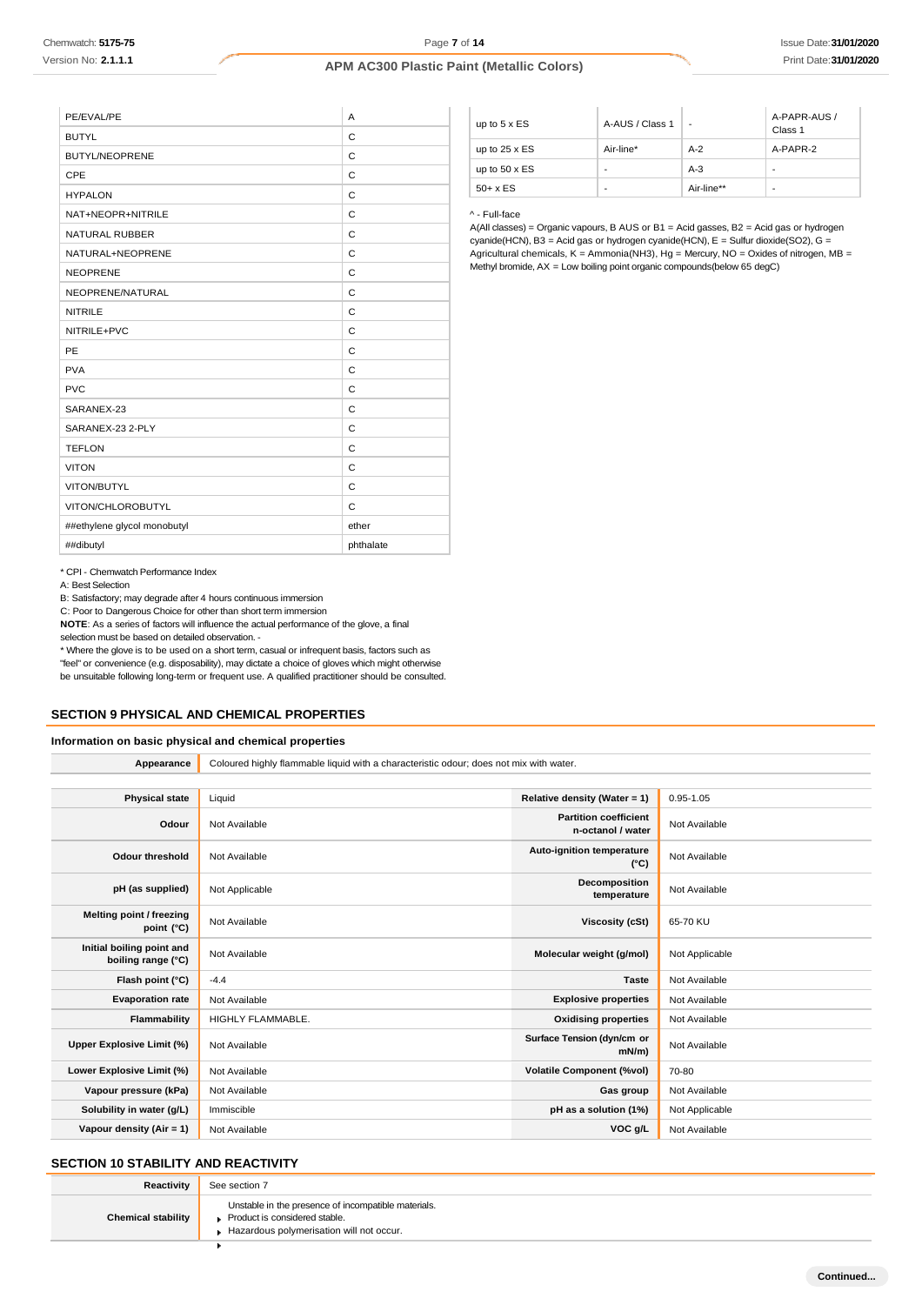| PE/EVAL/PE                  | A         |
|-----------------------------|-----------|
| <b>BUTYL</b>                | C         |
| <b>BUTYL/NEOPRENE</b>       | C         |
| CPE                         | C         |
| <b>HYPALON</b>              | C         |
| NAT+NEOPR+NITRILE           | C         |
| <b>NATURAL RUBBER</b>       | C         |
| NATURAL+NEOPRENE            | C         |
| <b>NEOPRENE</b>             | C         |
| NEOPRENE/NATURAL            | C         |
| <b>NITRILE</b>              | C         |
| NITRILE+PVC                 | C         |
| PE                          | C         |
| <b>PVA</b>                  | C         |
| <b>PVC</b>                  | C         |
| SARANEX-23                  | C         |
| SARANEX-23 2-PLY            | C         |
| <b>TEFLON</b>               | C         |
| <b>VITON</b>                | C         |
| VITON/BUTYL                 | C         |
| VITON/CHLOROBUTYL           | C         |
| ##ethylene glycol monobutyl | ether     |
| ##dibutyl                   | phthalate |
|                             |           |

| up to $5 \times ES$  | A-AUS / Class 1 | -          | A-PAPR-AUS /<br>Class 1 |
|----------------------|-----------------|------------|-------------------------|
| up to $25 \times ES$ | Air-line*       | $A-2$      | A-PAPR-2                |
| up to $50 \times ES$ | -               | $A-3$      | -                       |
| $50+ x ES$           | ٠               | Air-line** | ٠                       |

^ - Full-face

A(All classes) = Organic vapours, B AUS or B1 = Acid gasses, B2 = Acid gas or hydrogen cyanide(HCN), B3 = Acid gas or hydrogen cyanide(HCN), E = Sulfur dioxide(SO2), G = Agricultural chemicals, K = Ammonia(NH3), Hg = Mercury, NO = Oxides of nitrogen, MB = Methyl bromide, AX = Low boiling point organic compounds(below 65 degC)

\* CPI - Chemwatch Performance Index

A: Best Selection

B: Satisfactory; may degrade after 4 hours continuous immersion

C: Poor to Dangerous Choice for other than short term immersion

**NOTE**: As a series of factors will influence the actual performance of the glove, a final selection must be based on detailed observation. -

\* Where the glove is to be used on a short term, casual or infrequent basis, factors such as "feel" or convenience (e.g. disposability), may dictate a choice of gloves which might otherwise be unsuitable following long-term or frequent use. A qualified practitioner should be consulted.

# **SECTION 9 PHYSICAL AND CHEMICAL PROPERTIES**

## **Information on basic physical and chemical properties**

| Appearance                                      | Coloured highly flammable liquid with a characteristic odour; does not mix with water. |                                                   |                |
|-------------------------------------------------|----------------------------------------------------------------------------------------|---------------------------------------------------|----------------|
|                                                 |                                                                                        |                                                   |                |
| <b>Physical state</b>                           | Liquid                                                                                 | Relative density (Water = 1)                      | $0.95 - 1.05$  |
| Odour                                           | Not Available                                                                          | <b>Partition coefficient</b><br>n-octanol / water | Not Available  |
| <b>Odour threshold</b>                          | Not Available                                                                          | <b>Auto-ignition temperature</b><br>$(^{\circ}C)$ | Not Available  |
| pH (as supplied)                                | Not Applicable                                                                         | Decomposition<br>temperature                      | Not Available  |
| Melting point / freezing<br>point $(^{\circ}C)$ | Not Available                                                                          | <b>Viscosity (cSt)</b>                            | 65-70 KU       |
| Initial boiling point and<br>boiling range (°C) | Not Available                                                                          | Molecular weight (g/mol)                          | Not Applicable |
| Flash point (°C)                                | $-4.4$                                                                                 | <b>Taste</b>                                      | Not Available  |
| <b>Evaporation rate</b>                         | Not Available                                                                          | <b>Explosive properties</b>                       | Not Available  |
| Flammability                                    | HIGHLY FLAMMABLE.                                                                      | <b>Oxidising properties</b>                       | Not Available  |
| Upper Explosive Limit (%)                       | Not Available                                                                          | Surface Tension (dyn/cm or<br>$mN/m$ )            | Not Available  |
| Lower Explosive Limit (%)                       | Not Available                                                                          | <b>Volatile Component (%vol)</b>                  | 70-80          |
| Vapour pressure (kPa)                           | Not Available                                                                          | Gas group                                         | Not Available  |
| Solubility in water (g/L)                       | Immiscible                                                                             | pH as a solution (1%)                             | Not Applicable |
| Vapour density (Air = 1)                        | Not Available                                                                          | VOC g/L                                           | Not Available  |

# **SECTION 10 STABILITY AND REACTIVITY**

| Reactivity                | See section 7                                       |
|---------------------------|-----------------------------------------------------|
|                           | Unstable in the presence of incompatible materials. |
| <b>Chemical stability</b> | ▶ Product is considered stable.                     |

Hazardous polymerisation will not occur.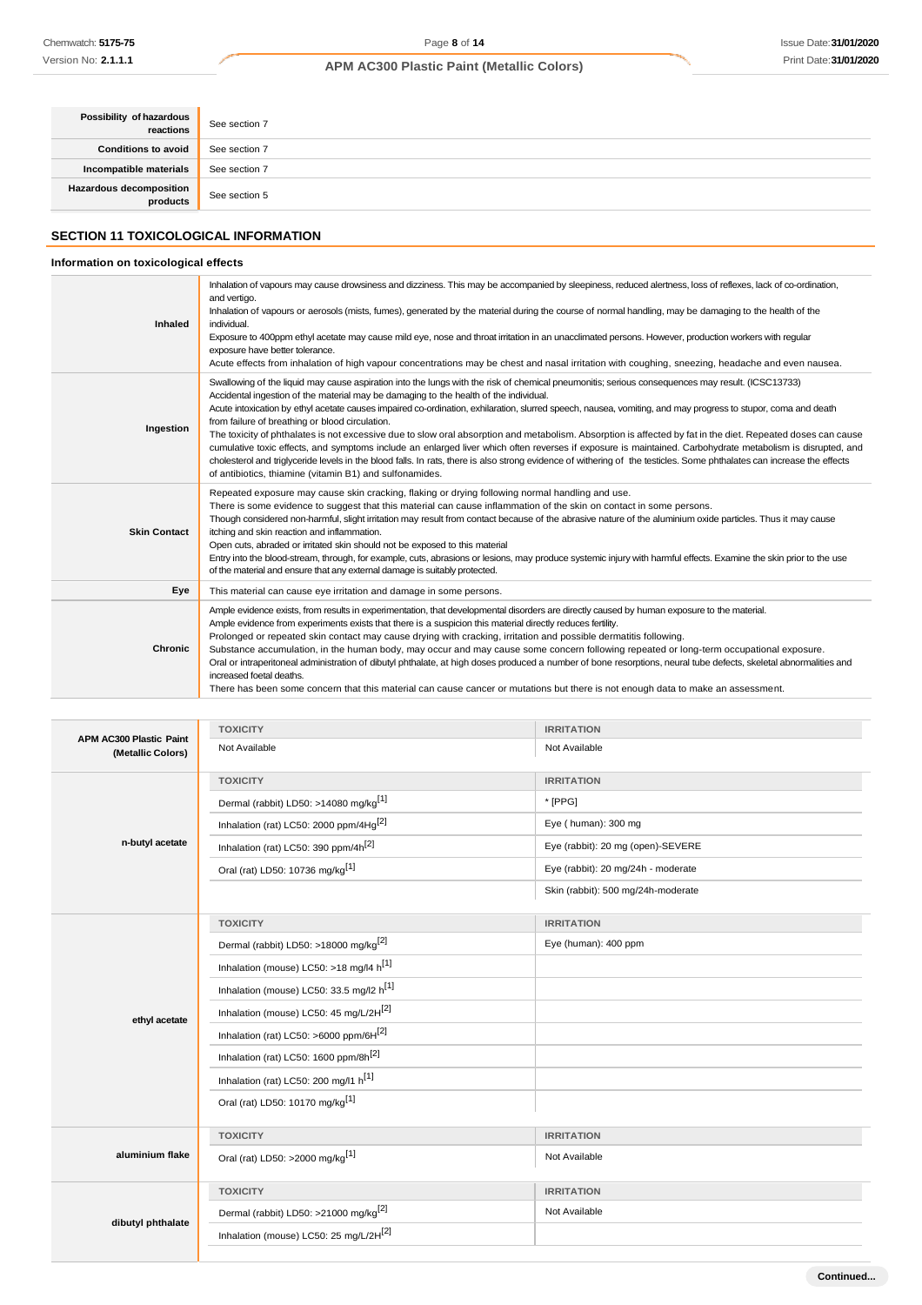| Possibility of hazardous<br>  reactions | See section 7 |
|-----------------------------------------|---------------|
| <b>Conditions to avoid</b>              | See section 7 |
| Incompatible materials                  | See section 7 |
| Hazardous decomposition<br>  products   | See section 5 |

# **SECTION 11 TOXICOLOGICAL INFORMATION**

# **Information on toxicological effects**

| Inhaled             | Inhalation of vapours may cause drowsiness and dizziness. This may be accompanied by sleepiness, reduced alertness, loss of reflexes, lack of co-ordination,<br>and vertigo.<br>Inhalation of vapours or aerosols (mists, fumes), generated by the material during the course of normal handling, may be damaging to the health of the<br>individual.<br>Exposure to 400ppm ethyl acetate may cause mild eye, nose and throat irritation in an unacclimated persons. However, production workers with reqular<br>exposure have better tolerance.<br>Acute effects from inhalation of high vapour concentrations may be chest and nasal irritation with coughing, sneezing, headache and even nausea.                                                                                                                                                                                                                                                                                                                            |
|---------------------|---------------------------------------------------------------------------------------------------------------------------------------------------------------------------------------------------------------------------------------------------------------------------------------------------------------------------------------------------------------------------------------------------------------------------------------------------------------------------------------------------------------------------------------------------------------------------------------------------------------------------------------------------------------------------------------------------------------------------------------------------------------------------------------------------------------------------------------------------------------------------------------------------------------------------------------------------------------------------------------------------------------------------------|
| Ingestion           | Swallowing of the liquid may cause aspiration into the lungs with the risk of chemical pneumonitis; serious consequences may result. (ICSC13733)<br>Accidental ingestion of the material may be damaging to the health of the individual.<br>Acute intoxication by ethyl acetate causes impaired co-ordination, exhilaration, slurred speech, nausea, vomiting, and may progress to stupor, coma and death<br>from failure of breathing or blood circulation.<br>The toxicity of phthalates is not excessive due to slow oral absorption and metabolism. Absorption is affected by fat in the diet. Repeated doses can cause<br>cumulative toxic effects, and symptoms include an enlarged liver which often reverses if exposure is maintained. Carbohydrate metabolism is disrupted, and<br>cholesterol and triglyceride levels in the blood falls. In rats, there is also strong evidence of withering of the testicles. Some phthalates can increase the effects<br>of antibiotics, thiamine (vitamin B1) and sulfonamides. |
| <b>Skin Contact</b> | Repeated exposure may cause skin cracking, flaking or drying following normal handling and use.<br>There is some evidence to suggest that this material can cause inflammation of the skin on contact in some persons.<br>Though considered non-harmful, slight irritation may result from contact because of the abrasive nature of the aluminium oxide particles. Thus it may cause<br>itching and skin reaction and inflammation.<br>Open cuts, abraded or irritated skin should not be exposed to this material<br>Entry into the blood-stream, through, for example, cuts, abrasions or lesions, may produce systemic injury with harmful effects. Examine the skin prior to the use<br>of the material and ensure that any external damage is suitably protected.                                                                                                                                                                                                                                                         |
| Eye                 | This material can cause eye irritation and damage in some persons.                                                                                                                                                                                                                                                                                                                                                                                                                                                                                                                                                                                                                                                                                                                                                                                                                                                                                                                                                              |
| Chronic             | Ample evidence exists, from results in experimentation, that developmental disorders are directly caused by human exposure to the material.<br>Ample evidence from experiments exists that there is a suspicion this material directly reduces fertility.<br>Prolonged or repeated skin contact may cause drying with cracking, irritation and possible dermatitis following.<br>Substance accumulation, in the human body, may occur and may cause some concern following repeated or long-term occupational exposure.<br>Oral or intraperitoneal administration of dibutyl phthalate, at high doses produced a number of bone resorptions, neural tube defects, skeletal abnormalities and<br>increased foetal deaths.<br>There has been some concern that this material can cause cancer or mutations but there is not enough data to make an assessment.                                                                                                                                                                    |

| <b>APM AC300 Plastic Paint</b> | <b>TOXICITY</b>                                      | <b>IRRITATION</b>                  |
|--------------------------------|------------------------------------------------------|------------------------------------|
| (Metallic Colors)              | Not Available                                        | Not Available                      |
|                                | <b>TOXICITY</b>                                      | <b>IRRITATION</b>                  |
|                                | Dermal (rabbit) LD50: >14080 mg/kg <sup>[1]</sup>    | * [PPG]                            |
|                                | Inhalation (rat) LC50: 2000 ppm/4Hg <sup>[2]</sup>   | Eye (human): 300 mg                |
| n-butyl acetate                | Inhalation (rat) LC50: 390 ppm/4h <sup>[2]</sup>     | Eye (rabbit): 20 mg (open)-SEVERE  |
|                                | Oral (rat) LD50: 10736 mg/kg <sup>[1]</sup>          | Eye (rabbit): 20 mg/24h - moderate |
|                                |                                                      | Skin (rabbit): 500 mg/24h-moderate |
|                                | <b>TOXICITY</b>                                      | <b>IRRITATION</b>                  |
|                                | Dermal (rabbit) LD50: >18000 mg/kg <sup>[2]</sup>    | Eye (human): 400 ppm               |
|                                | Inhalation (mouse) LC50: >18 mg/l4 $h^{[1]}$         |                                    |
|                                | Inhalation (mouse) LC50: 33.5 mg/l2 h <sup>[1]</sup> |                                    |
| ethyl acetate                  | Inhalation (mouse) LC50: 45 mg/L/2H <sup>[2]</sup>   |                                    |
|                                | Inhalation (rat) LC50: >6000 ppm/6H $^{[2]}$         |                                    |
|                                | Inhalation (rat) LC50: 1600 ppm/8h <sup>[2]</sup>    |                                    |
|                                | Inhalation (rat) LC50: 200 mg/l1 h <sup>[1]</sup>    |                                    |
|                                | Oral (rat) LD50: 10170 mg/kg <sup>[1]</sup>          |                                    |
|                                | <b>TOXICITY</b>                                      | <b>IRRITATION</b>                  |
| aluminium flake                | Oral (rat) LD50: >2000 mg/kg <sup>[1]</sup>          | Not Available                      |
|                                | <b>TOXICITY</b>                                      | <b>IRRITATION</b>                  |
| dibutyl phthalate              | Dermal (rabbit) LD50: >21000 mg/kg <sup>[2]</sup>    | Not Available                      |
|                                | Inhalation (mouse) LC50: 25 mg/L/2H <sup>[2]</sup>   |                                    |
|                                |                                                      |                                    |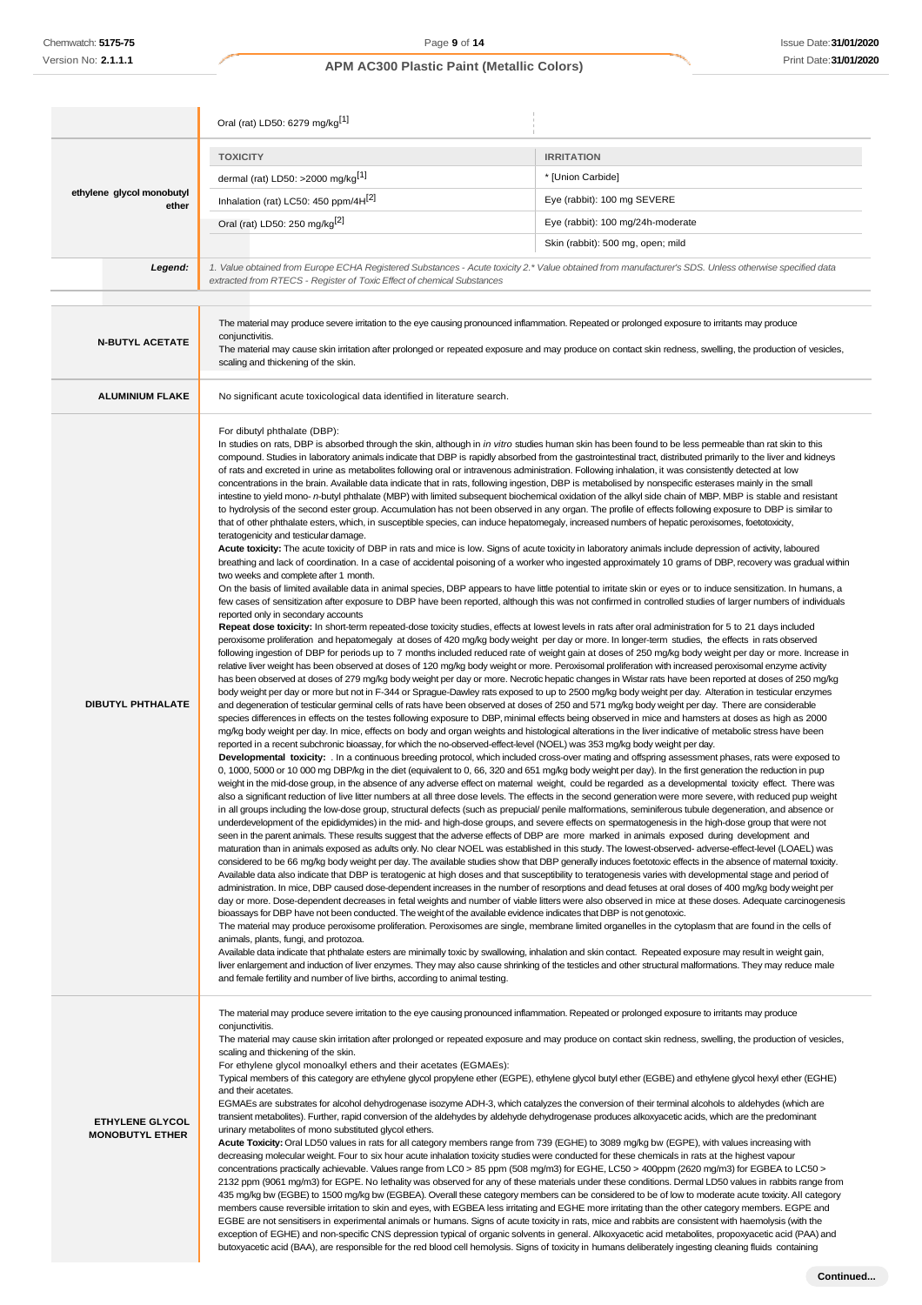|                                                  | Oral (rat) LD50: 6279 mg/kg[1]                                                                                                                                                                                                                                                                                                                                                                                                                                                                                                                                                                                                                                                                                                                                                                                                                                                                                                                                                                                                                                                                                                                                                                                                                                                                                                                                                                                                                                                                                                                                                                                                                                                                                                                                                                                                                                                                                                                                                                                                                                                                                                                                                                                                                                                                                                                                                                                                                                                                                                                                                                                                                                                                                                                                                                                                                                                                                                                                                                                                                                                                                                                                                                                                                                                                                                                                                                                                                                                                                                                                                                                                                                                                                                                                                                                                                                                                                                                                                                                                                                                                                                                                                                                                                                                                                                                                                                                                                                                                                                                                                                                                                                                                                                                                                                                                                                                                                                                                                                                                                                                                                                                                                                                                                                                                                                                                                                                                                                                                                                                                                                                                                                                                                                                                                                                                                                                                                                                                                                                                                                                                                                                                                  |                                                                                                                                                                                                                                                                                                                     |
|--------------------------------------------------|---------------------------------------------------------------------------------------------------------------------------------------------------------------------------------------------------------------------------------------------------------------------------------------------------------------------------------------------------------------------------------------------------------------------------------------------------------------------------------------------------------------------------------------------------------------------------------------------------------------------------------------------------------------------------------------------------------------------------------------------------------------------------------------------------------------------------------------------------------------------------------------------------------------------------------------------------------------------------------------------------------------------------------------------------------------------------------------------------------------------------------------------------------------------------------------------------------------------------------------------------------------------------------------------------------------------------------------------------------------------------------------------------------------------------------------------------------------------------------------------------------------------------------------------------------------------------------------------------------------------------------------------------------------------------------------------------------------------------------------------------------------------------------------------------------------------------------------------------------------------------------------------------------------------------------------------------------------------------------------------------------------------------------------------------------------------------------------------------------------------------------------------------------------------------------------------------------------------------------------------------------------------------------------------------------------------------------------------------------------------------------------------------------------------------------------------------------------------------------------------------------------------------------------------------------------------------------------------------------------------------------------------------------------------------------------------------------------------------------------------------------------------------------------------------------------------------------------------------------------------------------------------------------------------------------------------------------------------------------------------------------------------------------------------------------------------------------------------------------------------------------------------------------------------------------------------------------------------------------------------------------------------------------------------------------------------------------------------------------------------------------------------------------------------------------------------------------------------------------------------------------------------------------------------------------------------------------------------------------------------------------------------------------------------------------------------------------------------------------------------------------------------------------------------------------------------------------------------------------------------------------------------------------------------------------------------------------------------------------------------------------------------------------------------------------------------------------------------------------------------------------------------------------------------------------------------------------------------------------------------------------------------------------------------------------------------------------------------------------------------------------------------------------------------------------------------------------------------------------------------------------------------------------------------------------------------------------------------------------------------------------------------------------------------------------------------------------------------------------------------------------------------------------------------------------------------------------------------------------------------------------------------------------------------------------------------------------------------------------------------------------------------------------------------------------------------------------------------------------------------------------------------------------------------------------------------------------------------------------------------------------------------------------------------------------------------------------------------------------------------------------------------------------------------------------------------------------------------------------------------------------------------------------------------------------------------------------------------------------------------------------------------------------------------------------------------------------------------------------------------------------------------------------------------------------------------------------------------------------------------------------------------------------------------------------------------------------------------------------------------------------------------------------------------------------------------------------------------------------------------------------------------------------------------------------|---------------------------------------------------------------------------------------------------------------------------------------------------------------------------------------------------------------------------------------------------------------------------------------------------------------------|
|                                                  | <b>TOXICITY</b>                                                                                                                                                                                                                                                                                                                                                                                                                                                                                                                                                                                                                                                                                                                                                                                                                                                                                                                                                                                                                                                                                                                                                                                                                                                                                                                                                                                                                                                                                                                                                                                                                                                                                                                                                                                                                                                                                                                                                                                                                                                                                                                                                                                                                                                                                                                                                                                                                                                                                                                                                                                                                                                                                                                                                                                                                                                                                                                                                                                                                                                                                                                                                                                                                                                                                                                                                                                                                                                                                                                                                                                                                                                                                                                                                                                                                                                                                                                                                                                                                                                                                                                                                                                                                                                                                                                                                                                                                                                                                                                                                                                                                                                                                                                                                                                                                                                                                                                                                                                                                                                                                                                                                                                                                                                                                                                                                                                                                                                                                                                                                                                                                                                                                                                                                                                                                                                                                                                                                                                                                                                                                                                                                                 | <b>IRRITATION</b>                                                                                                                                                                                                                                                                                                   |
| ethylene glycol monobutyl<br>ether               | dermal (rat) LD50: >2000 mg/kg <sup>[1]</sup>                                                                                                                                                                                                                                                                                                                                                                                                                                                                                                                                                                                                                                                                                                                                                                                                                                                                                                                                                                                                                                                                                                                                                                                                                                                                                                                                                                                                                                                                                                                                                                                                                                                                                                                                                                                                                                                                                                                                                                                                                                                                                                                                                                                                                                                                                                                                                                                                                                                                                                                                                                                                                                                                                                                                                                                                                                                                                                                                                                                                                                                                                                                                                                                                                                                                                                                                                                                                                                                                                                                                                                                                                                                                                                                                                                                                                                                                                                                                                                                                                                                                                                                                                                                                                                                                                                                                                                                                                                                                                                                                                                                                                                                                                                                                                                                                                                                                                                                                                                                                                                                                                                                                                                                                                                                                                                                                                                                                                                                                                                                                                                                                                                                                                                                                                                                                                                                                                                                                                                                                                                                                                                                                   | * [Union Carbide]                                                                                                                                                                                                                                                                                                   |
|                                                  | Inhalation (rat) LC50: 450 ppm/4H <sup>[2]</sup>                                                                                                                                                                                                                                                                                                                                                                                                                                                                                                                                                                                                                                                                                                                                                                                                                                                                                                                                                                                                                                                                                                                                                                                                                                                                                                                                                                                                                                                                                                                                                                                                                                                                                                                                                                                                                                                                                                                                                                                                                                                                                                                                                                                                                                                                                                                                                                                                                                                                                                                                                                                                                                                                                                                                                                                                                                                                                                                                                                                                                                                                                                                                                                                                                                                                                                                                                                                                                                                                                                                                                                                                                                                                                                                                                                                                                                                                                                                                                                                                                                                                                                                                                                                                                                                                                                                                                                                                                                                                                                                                                                                                                                                                                                                                                                                                                                                                                                                                                                                                                                                                                                                                                                                                                                                                                                                                                                                                                                                                                                                                                                                                                                                                                                                                                                                                                                                                                                                                                                                                                                                                                                                                | Eye (rabbit): 100 mg SEVERE                                                                                                                                                                                                                                                                                         |
|                                                  | Oral (rat) LD50: 250 mg/kg <sup>[2]</sup>                                                                                                                                                                                                                                                                                                                                                                                                                                                                                                                                                                                                                                                                                                                                                                                                                                                                                                                                                                                                                                                                                                                                                                                                                                                                                                                                                                                                                                                                                                                                                                                                                                                                                                                                                                                                                                                                                                                                                                                                                                                                                                                                                                                                                                                                                                                                                                                                                                                                                                                                                                                                                                                                                                                                                                                                                                                                                                                                                                                                                                                                                                                                                                                                                                                                                                                                                                                                                                                                                                                                                                                                                                                                                                                                                                                                                                                                                                                                                                                                                                                                                                                                                                                                                                                                                                                                                                                                                                                                                                                                                                                                                                                                                                                                                                                                                                                                                                                                                                                                                                                                                                                                                                                                                                                                                                                                                                                                                                                                                                                                                                                                                                                                                                                                                                                                                                                                                                                                                                                                                                                                                                                                       | Eye (rabbit): 100 mg/24h-moderate                                                                                                                                                                                                                                                                                   |
|                                                  |                                                                                                                                                                                                                                                                                                                                                                                                                                                                                                                                                                                                                                                                                                                                                                                                                                                                                                                                                                                                                                                                                                                                                                                                                                                                                                                                                                                                                                                                                                                                                                                                                                                                                                                                                                                                                                                                                                                                                                                                                                                                                                                                                                                                                                                                                                                                                                                                                                                                                                                                                                                                                                                                                                                                                                                                                                                                                                                                                                                                                                                                                                                                                                                                                                                                                                                                                                                                                                                                                                                                                                                                                                                                                                                                                                                                                                                                                                                                                                                                                                                                                                                                                                                                                                                                                                                                                                                                                                                                                                                                                                                                                                                                                                                                                                                                                                                                                                                                                                                                                                                                                                                                                                                                                                                                                                                                                                                                                                                                                                                                                                                                                                                                                                                                                                                                                                                                                                                                                                                                                                                                                                                                                                                 | Skin (rabbit): 500 mg, open; mild                                                                                                                                                                                                                                                                                   |
| Legend:                                          | 1. Value obtained from Europe ECHA Registered Substances - Acute toxicity 2.* Value obtained from manufacturer's SDS. Unless otherwise specified data                                                                                                                                                                                                                                                                                                                                                                                                                                                                                                                                                                                                                                                                                                                                                                                                                                                                                                                                                                                                                                                                                                                                                                                                                                                                                                                                                                                                                                                                                                                                                                                                                                                                                                                                                                                                                                                                                                                                                                                                                                                                                                                                                                                                                                                                                                                                                                                                                                                                                                                                                                                                                                                                                                                                                                                                                                                                                                                                                                                                                                                                                                                                                                                                                                                                                                                                                                                                                                                                                                                                                                                                                                                                                                                                                                                                                                                                                                                                                                                                                                                                                                                                                                                                                                                                                                                                                                                                                                                                                                                                                                                                                                                                                                                                                                                                                                                                                                                                                                                                                                                                                                                                                                                                                                                                                                                                                                                                                                                                                                                                                                                                                                                                                                                                                                                                                                                                                                                                                                                                                           |                                                                                                                                                                                                                                                                                                                     |
|                                                  | extracted from RTECS - Register of Toxic Effect of chemical Substances                                                                                                                                                                                                                                                                                                                                                                                                                                                                                                                                                                                                                                                                                                                                                                                                                                                                                                                                                                                                                                                                                                                                                                                                                                                                                                                                                                                                                                                                                                                                                                                                                                                                                                                                                                                                                                                                                                                                                                                                                                                                                                                                                                                                                                                                                                                                                                                                                                                                                                                                                                                                                                                                                                                                                                                                                                                                                                                                                                                                                                                                                                                                                                                                                                                                                                                                                                                                                                                                                                                                                                                                                                                                                                                                                                                                                                                                                                                                                                                                                                                                                                                                                                                                                                                                                                                                                                                                                                                                                                                                                                                                                                                                                                                                                                                                                                                                                                                                                                                                                                                                                                                                                                                                                                                                                                                                                                                                                                                                                                                                                                                                                                                                                                                                                                                                                                                                                                                                                                                                                                                                                                          |                                                                                                                                                                                                                                                                                                                     |
| <b>N-BUTYL ACETATE</b>                           | The material may produce severe irritation to the eye causing pronounced inflammation. Repeated or prolonged exposure to irritants may produce<br>conjunctivitis.<br>The material may cause skin irritation after prolonged or repeated exposure and may produce on contact skin redness, swelling, the production of vesicles,<br>scaling and thickening of the skin.                                                                                                                                                                                                                                                                                                                                                                                                                                                                                                                                                                                                                                                                                                                                                                                                                                                                                                                                                                                                                                                                                                                                                                                                                                                                                                                                                                                                                                                                                                                                                                                                                                                                                                                                                                                                                                                                                                                                                                                                                                                                                                                                                                                                                                                                                                                                                                                                                                                                                                                                                                                                                                                                                                                                                                                                                                                                                                                                                                                                                                                                                                                                                                                                                                                                                                                                                                                                                                                                                                                                                                                                                                                                                                                                                                                                                                                                                                                                                                                                                                                                                                                                                                                                                                                                                                                                                                                                                                                                                                                                                                                                                                                                                                                                                                                                                                                                                                                                                                                                                                                                                                                                                                                                                                                                                                                                                                                                                                                                                                                                                                                                                                                                                                                                                                                                          |                                                                                                                                                                                                                                                                                                                     |
| <b>ALUMINIUM FLAKE</b>                           | No significant acute toxicological data identified in literature search.                                                                                                                                                                                                                                                                                                                                                                                                                                                                                                                                                                                                                                                                                                                                                                                                                                                                                                                                                                                                                                                                                                                                                                                                                                                                                                                                                                                                                                                                                                                                                                                                                                                                                                                                                                                                                                                                                                                                                                                                                                                                                                                                                                                                                                                                                                                                                                                                                                                                                                                                                                                                                                                                                                                                                                                                                                                                                                                                                                                                                                                                                                                                                                                                                                                                                                                                                                                                                                                                                                                                                                                                                                                                                                                                                                                                                                                                                                                                                                                                                                                                                                                                                                                                                                                                                                                                                                                                                                                                                                                                                                                                                                                                                                                                                                                                                                                                                                                                                                                                                                                                                                                                                                                                                                                                                                                                                                                                                                                                                                                                                                                                                                                                                                                                                                                                                                                                                                                                                                                                                                                                                                        |                                                                                                                                                                                                                                                                                                                     |
| <b>DIBUTYL PHTHALATE</b>                         | For dibutyl phthalate (DBP):<br>In studies on rats, DBP is absorbed through the skin, although in in vitro studies human skin has been found to be less permeable than rat skin to this<br>compound. Studies in laboratory animals indicate that DBP is rapidly absorbed from the gastrointestinal tract, distributed primarily to the liver and kidneys<br>of rats and excreted in urine as metabolites following oral or intravenous administration. Following inhalation, it was consistently detected at low<br>concentrations in the brain. Available data indicate that in rats, following ingestion, DBP is metabolised by nonspecific esterases mainly in the small<br>intestine to yield mono- n-butyl phthalate (MBP) with limited subsequent biochemical oxidation of the alkyl side chain of MBP. MBP is stable and resistant<br>to hydrolysis of the second ester group. Accumulation has not been observed in any organ. The profile of effects following exposure to DBP is similar to<br>that of other phthalate esters, which, in susceptible species, can induce hepatomegaly, increased numbers of hepatic peroxisomes, foetotoxicity,<br>teratogenicity and testicular damage.<br>Acute toxicity: The acute toxicity of DBP in rats and mice is low. Signs of acute toxicity in laboratory animals include depression of activity, laboured<br>breathing and lack of coordination. In a case of accidental poisoning of a worker who ingested approximately 10 grams of DBP, recovery was gradual within<br>two weeks and complete after 1 month.<br>On the basis of limited available data in animal species, DBP appears to have little potential to irritate skin or eyes or to induce sensitization. In humans, a<br>few cases of sensitization after exposure to DBP have been reported, although this was not confirmed in controlled studies of larger numbers of individuals<br>reported only in secondary accounts<br>Repeat dose toxicity: In short-term repeated-dose toxicity studies, effects at lowest levels in rats after oral administration for 5 to 21 days included<br>peroxisome proliferation and hepatomegaly at doses of 420 mg/kg body weight per day or more. In longer-term studies, the effects in rats observed<br>following ingestion of DBP for periods up to 7 months included reduced rate of weight gain at doses of 250 mg/kg body weight per day or more. Increase in<br>relative liver weight has been observed at doses of 120 mg/kg body weight or more. Peroxisomal proliferation with increased peroxisomal enzyme activity<br>has been observed at doses of 279 mg/kg body weight per day or more. Necrotic hepatic changes in Wistar rats have been reported at doses of 250 mg/kg<br>body weight per day or more but not in F-344 or Sprague-Dawley rats exposed to up to 2500 mg/kg body weight per day. Alteration in testicular enzymes<br>and degeneration of testicular germinal cells of rats have been observed at doses of 250 and 571 mg/kg body weight per day. There are considerable<br>species differences in effects on the testes following exposure to DBP, minimal effects being observed in mice and hamsters at doses as high as 2000<br>mg/kg body weight per day. In mice, effects on body and organ weights and histological alterations in the liver indicative of metabolic stress have been<br>reported in a recent subchronic bioassay, for which the no-observed-effect-level (NOEL) was 353 mg/kg body weight per day.<br>Developmental toxicity: . In a continuous breeding protocol, which included cross-over mating and offspring assessment phases, rats were exposed to<br>0, 1000, 5000 or 10 000 mg DBP/kg in the diet (equivalent to 0, 66, 320 and 651 mg/kg body weight per day). In the first generation the reduction in pup<br>weight in the mid-dose group, in the absence of any adverse effect on maternal weight, could be regarded as a developmental toxicity effect. There was<br>also a significant reduction of live litter numbers at all three dose levels. The effects in the second generation were more severe, with reduced pup weight<br>in all groups including the low-dose group, structural defects (such as prepucial/ penile malformations, seminiferous tubule degeneration, and absence or<br>underdevelopment of the epididymides) in the mid- and high-dose groups, and severe effects on spermatogenesis in the high-dose group that were not<br>seen in the parent animals. These results suggest that the adverse effects of DBP are more marked in animals exposed during development and<br>maturation than in animals exposed as adults only. No clear NOEL was established in this study. The lowest-observed-adverse-effect-level (LOAEL) was<br>considered to be 66 mg/kg body weight per day. The available studies show that DBP generally induces foetotoxic effects in the absence of maternal toxicity.<br>Available data also indicate that DBP is teratogenic at high doses and that susceptibility to teratogenesis varies with developmental stage and period of<br>administration. In mice, DBP caused dose-dependent increases in the number of resorptions and dead fetuses at oral doses of 400 mg/kg body weight per<br>day or more. Dose-dependent decreases in fetal weights and number of viable litters were also observed in mice at these doses. Adequate carcinogenesis<br>bioassays for DBP have not been conducted. The weight of the available evidence indicates that DBP is not genotoxic.<br>The material may produce peroxisome proliferation. Peroxisomes are single, membrane limited organelles in the cytoplasm that are found in the cells of<br>animals, plants, fungi, and protozoa.<br>Available data indicate that phthalate esters are minimally toxic by swallowing, inhalation and skin contact. Repeated exposure may result in weight gain,<br>liver enlargement and induction of liver enzymes. They may also cause shrinking of the testicles and other structural malformations. They may reduce male<br>and female fertility and number of live births, according to animal testing. |                                                                                                                                                                                                                                                                                                                     |
| <b>ETHYLENE GLYCOL</b><br><b>MONOBUTYL ETHER</b> | The material may produce severe irritation to the eye causing pronounced inflammation. Repeated or prolonged exposure to irritants may produce<br>conjunctivitis.<br>scaling and thickening of the skin.<br>For ethylene glycol monoalkyl ethers and their acetates (EGMAEs):<br>Typical members of this category are ethylene glycol propylene ether (EGPE), ethylene glycol butyl ether (EGBE) and ethylene glycol hexyl ether (EGHE)<br>and their acetates.<br>EGMAEs are substrates for alcohol dehydrogenase isozyme ADH-3, which catalyzes the conversion of their terminal alcohols to aldehydes (which are<br>transient metabolites). Further, rapid conversion of the aldehydes by aldehyde dehydrogenase produces alkoxyacetic acids, which are the predominant<br>urinary metabolites of mono substituted glycol ethers.<br>Acute Toxicity: Oral LD50 values in rats for all category members range from 739 (EGHE) to 3089 mg/kg bw (EGPE), with values increasing with<br>decreasing molecular weight. Four to six hour acute inhalation toxicity studies were conducted for these chemicals in rats at the highest vapour<br>concentrations practically achievable. Values range from LC0 > 85 ppm (508 mg/m3) for EGHE, LC50 > 400ppm (2620 mg/m3) for EGBEA to LC50 ><br>435 mg/kg bw (EGBE) to 1500 mg/kg bw (EGBEA). Overall these category members can be considered to be of low to moderate acute toxicity. All category<br>members cause reversible irritation to skin and eyes, with EGBEA less irritating and EGHE more irritating than the other category members. EGPE and<br>EGBE are not sensitisers in experimental animals or humans. Signs of acute toxicity in rats, mice and rabbits are consistent with haemolysis (with the<br>exception of EGHE) and non-specific CNS depression typical of organic solvents in general. Alkoxyacetic acid metabolites, propoxyacetic acid (PAA) and<br>butoxyacetic acid (BAA), are responsible for the red blood cell hemolysis. Signs of toxicity in humans deliberately ingesting cleaning fluids containing                                                                                                                                                                                                                                                                                                                                                                                                                                                                                                                                                                                                                                                                                                                                                                                                                                                                                                                                                                                                                                                                                                                                                                                                                                                                                                                                                                                                                                                                                                                                                                                                                                                                                                                                                                                                                                                                                                                                                                                                                                                                                                                                                                                                                                                                                                                                                                                                                                                                                                                                                                                                                                                                                                                                                                                                                                                                                                                                                                                                                                                                                                                                                                                                                                                                                                                                                                                                                                                                                                                                                                                                                                                                                                                                                                                                                                                                                                                                                                                                                                                                                            | The material may cause skin irritation after prolonged or repeated exposure and may produce on contact skin redness, swelling, the production of vesicles,<br>2132 ppm (9061 mg/m3) for EGPE. No lethality was observed for any of these materials under these conditions. Dermal LD50 values in rabbits range from |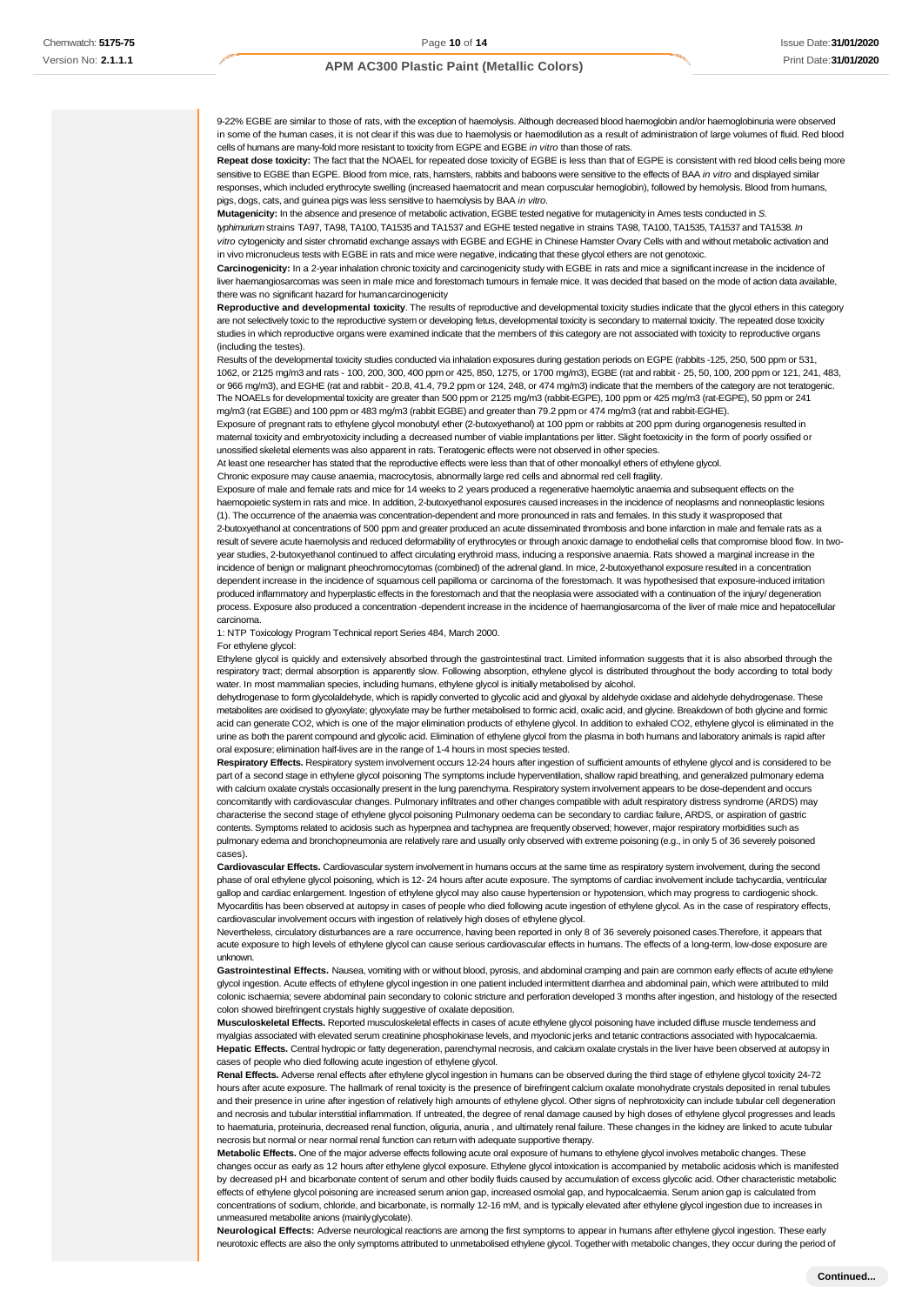9-22% EGBE are similar to those of rats, with the exception of haemolysis. Although decreased blood haemoglobin and/or haemoglobinuria were observed in some of the human cases, it is not clear if this was due to haemolysis or haemodilution as a result of administration of large volumes of fluid. Red blood cells of humans are many-fold more resistant to toxicity from EGPE and EGBE *in vitro* than those of rats.

**Repeat dose toxicity:** The fact that the NOAEL for repeated dose toxicity of EGBE is less than that of EGPE is consistent with red blood cells being more sensitive to EGBE than EGPE. Blood from mice, rats, hamsters, rabbits and baboons were sensitive to the effects of BAA *in vitro* and displayed similar responses, which included erythrocyte swelling (increased haematocrit and mean corpuscular hemoglobin), followed by hemolysis. Blood from humans, pigs, dogs, cats, and guinea pigs was less sensitive to haemolysis by BAA *in vitro*.

**Mutagenicity:** In the absence and presence of metabolic activation, EGBE tested negative for mutagenicity in Ames tests conducted in *S. typhimurium* strains TA97, TA98, TA100, TA1535 and TA1537 and EGHE tested negative in strains TA98, TA100, TA1535, TA1537 and TA1538. *In vitro* cytogenicity and sister chromatid exchange assays with EGBE and EGHE in Chinese Hamster Ovary Cells with and without metabolic activation and in vivo micronucleus tests with EGBE in rats and mice were negative, indicating that these glycol ethers are not genotoxic.

**Carcinogenicity:** In a 2-year inhalation chronic toxicity and carcinogenicity study with EGBE in rats and mice a significant increase in the incidence of liver haemangiosarcomas was seen in male mice and forestomach tumours in female mice. It was decided that based on the mode of action data available, there was no significant hazard for humancarcinogenicity

**Reproductive and developmental toxicity**. The results of reproductive and developmental toxicity studies indicate that the glycol ethers in this category are not selectively toxic to the reproductive system or developing fetus, developmental toxicity is secondary to maternal toxicity. The repeated dose toxicity studies in which reproductive organs were examined indicate that the members of this category are not associated with toxicity to reproductive organs (including the testes).

Results of the developmental toxicity studies conducted via inhalation exposures during gestation periods on EGPE (rabbits -125, 250, 500 ppm or 531, 1062, or 2125 mg/m3 and rats - 100, 200, 300, 400 ppm or 425, 850, 1275, or 1700 mg/m3), EGBE (rat and rabbit - 25, 50, 100, 200 ppm or 121, 241, 483, or 966 mg/m3), and EGHE (rat and rabbit - 20.8, 41.4, 79.2 ppm or 124, 248, or 474 mg/m3) indicate that the members of the category are not teratogenic. The NOAELs for developmental toxicity are greater than 500 ppm or 2125 mg/m3 (rabbit-EGPE), 100 ppm or 425 mg/m3 (rat-EGPE), 50 ppm or 241 mg/m3 (rat EGBE) and 100 ppm or 483 mg/m3 (rabbit EGBE) and greater than 79.2 ppm or 474 mg/m3 (rat and rabbit-EGHE).

Exposure of pregnant rats to ethylene glycol monobutyl ether (2-butoxyethanol) at 100 ppm or rabbits at 200 ppm during organogenesis resulted in maternal toxicity and embryotoxicity including a decreased number of viable implantations per litter. Slight foetoxicity in the form of poorly ossified or unossified skeletal elements was also apparent in rats. Teratogenic effects were not observed in other species.

At least one researcher has stated that the reproductive effects were less than that of other monoalkyl ethers of ethylene glycol.

Chronic exposure may cause anaemia, macrocytosis, abnormally large red cells and abnormal red cell fragility.

Exposure of male and female rats and mice for 14 weeks to 2 years produced a regenerative haemolytic anaemia and subsequent effects on the haemopoietic system in rats and mice. In addition, 2-butoxyethanol exposures caused increases in the incidence of neoplasms and nonneoplastic lesions (1). The occurrence of the anaemia was concentration-dependent and more pronounced in rats and females. In this study it wasproposed that 2-butoxyethanol at concentrations of 500 ppm and greater produced an acute disseminated thrombosis and bone infarction in male and female rats as a result of severe acute haemolysis and reduced deformability of erythrocytes or through anoxic damage to endothelial cells that compromise blood flow. In twoyear studies, 2-butoxyethanol continued to affect circulating erythroid mass, inducing a responsive anaemia. Rats showed a marginal increase in the incidence of benign or malignant pheochromocytomas (combined) of the adrenal gland. In mice, 2-butoxyethanol exposure resulted in a concentration dependent increase in the incidence of squamous cell papilloma or carcinoma of the forestomach. It was hypothesised that exposure-induced irritation produced inflammatory and hyperplastic effects in the forestomach and that the neoplasia were associated with a continuation of the injury/ degeneration process. Exposure also produced a concentration -dependent increase in the incidence of haemangiosarcoma of the liver of male mice and hepatocellular carcinoma.

1: NTP Toxicology Program Technical report Series 484, March 2000.

For ethylene glycol:

Ethylene glycol is quickly and extensively absorbed through the gastrointestinal tract. Limited information suggests that it is also absorbed through the respiratory tract; dermal absorption is apparently slow. Following absorption, ethylene glycol is distributed throughout the body according to total body water. In most mammalian species, including humans, ethylene glycol is initially metabolised by alcohol.

dehydrogenase to form glycolaldehyde, which is rapidly converted to glycolic acid and glyoxal by aldehyde oxidase and aldehyde dehydrogenase. These metabolites are oxidised to glyoxylate; glyoxylate may be further metabolised to formic acid, oxalic acid, and glycine. Breakdown of both glycine and formic acid can generate CO2, which is one of the major elimination products of ethylene glycol. In addition to exhaled CO2, ethylene glycol is eliminated in the urine as both the parent compound and glycolic acid. Elimination of ethylene glycol from the plasma in both humans and laboratory animals is rapid after oral exposure; elimination half-lives are in the range of 1-4 hours in most species tested.

**Respiratory Effects.** Respiratory system involvement occurs 12-24 hours after ingestion of sufficient amounts of ethylene glycol and is considered to be part of a second stage in ethylene glycol poisoning The symptoms include hyperventilation, shallow rapid breathing, and generalized pulmonary edema with calcium oxalate crystals occasionally present in the lung parenchyma. Respiratory system involvement appears to be dose-dependent and occurs concomitantly with cardiovascular changes. Pulmonary infiltrates and other changes compatible with adult respiratory distress syndrome (ARDS) may characterise the second stage of ethylene glycol poisoning Pulmonary oedema can be secondary to cardiac failure, ARDS, or aspiration of gastric contents. Symptoms related to acidosis such as hyperpnea and tachypnea are frequently observed; however, major respiratory morbidities such as pulmonary edema and bronchopneumonia are relatively rare and usually only observed with extreme poisoning (e.g., in only 5 of 36 severely poisoned cases).

**Cardiovascular Effects.** Cardiovascular system involvement in humans occurs at the same time as respiratory system involvement, during the second phase of oral ethylene glycol poisoning, which is 12- 24 hours after acute exposure. The symptoms of cardiac involvement include tachycardia, ventricular gallop and cardiac enlargement. Ingestion of ethylene glycol may also cause hypertension or hypotension, which may progress to cardiogenic shock. Myocarditis has been observed at autopsy in cases of people who died following acute ingestion of ethylene glycol. As in the case of respiratory effects, cardiovascular involvement occurs with ingestion of relatively high doses of ethylene glycol.

Nevertheless, circulatory disturbances are a rare occurrence, having been reported in only 8 of 36 severely poisoned cases.Therefore, it appears that acute exposure to high levels of ethylene glycol can cause serious cardiovascular effects in humans. The effects of a long-term, low-dose exposure are unknown.

Gastrointestinal Effects. Nausea, vomiting with or without blood, pyrosis, and abdominal cramping and pain are common early effects of acute ethylene glycol ingestion. Acute effects of ethylene glycol ingestion in one patient included intermittent diarrhea and abdominal pain, which were attributed to mild colonic ischaemia; severe abdominal pain secondary to colonic stricture and perforation developed 3 months after ingestion, and histology of the resected colon showed birefringent crystals highly suggestive of oxalate deposition.

**Musculoskeletal Effects.** Reported musculoskeletal effects in cases of acute ethylene glycol poisoning have included diffuse muscle tenderness and myalgias associated with elevated serum creatinine phosphokinase levels, and myoclonic jerks and tetanic contractions associated with hypocalcaemia. **Hepatic Effects.** Central hydropic or fatty degeneration, parenchymal necrosis, and calcium oxalate crystals in the liver have been observed at autopsy in cases of people who died following acute ingestion of ethylene glycol.

**Renal Effects.** Adverse renal effects after ethylene glycol ingestion in humans can be observed during the third stage of ethylene glycol toxicity 24-72 hours after acute exposure. The hallmark of renal toxicity is the presence of birefringent calcium oxalate monohydrate crystals deposited in renal tubules and their presence in urine after ingestion of relatively high amounts of ethylene glycol. Other signs of nephrotoxicity can include tubular cell degeneration and necrosis and tubular interstitial inflammation. If untreated, the degree of renal damage caused by high doses of ethylene glycol progresses and leads to haematuria, proteinuria, decreased renal function, oliguria, anuria , and ultimately renal failure. These changes in the kidney are linked to acute tubular necrosis but normal or near normal renal function can return with adequate supportive therapy.

**Metabolic Effects.** One of the major adverse effects following acute oral exposure of humans to ethylene glycol involves metabolic changes. These changes occur as early as 12 hours after ethylene glycol exposure. Ethylene glycol intoxication is accompanied by metabolic acidosis which is manifested by decreased pH and bicarbonate content of serum and other bodily fluids caused by accumulation of excess glycolic acid. Other characteristic metabolic effects of ethylene glycol poisoning are increased serum anion gap, increased osmolal gap, and hypocalcaemia. Serum anion gap is calculated from concentrations of sodium, chloride, and bicarbonate, is normally 12-16 mM, and is typically elevated after ethylene glycol ingestion due to increas unmeasured metabolite anions (mainlyglycolate).

**Neurological Effects:** Adverse neurological reactions are among the first symptoms to appear in humans after ethylene glycol ingestion. These early neurotoxic effects are also the only symptoms attributed to unmetabolised ethylene glycol. Together with metabolic changes, they occur during the period of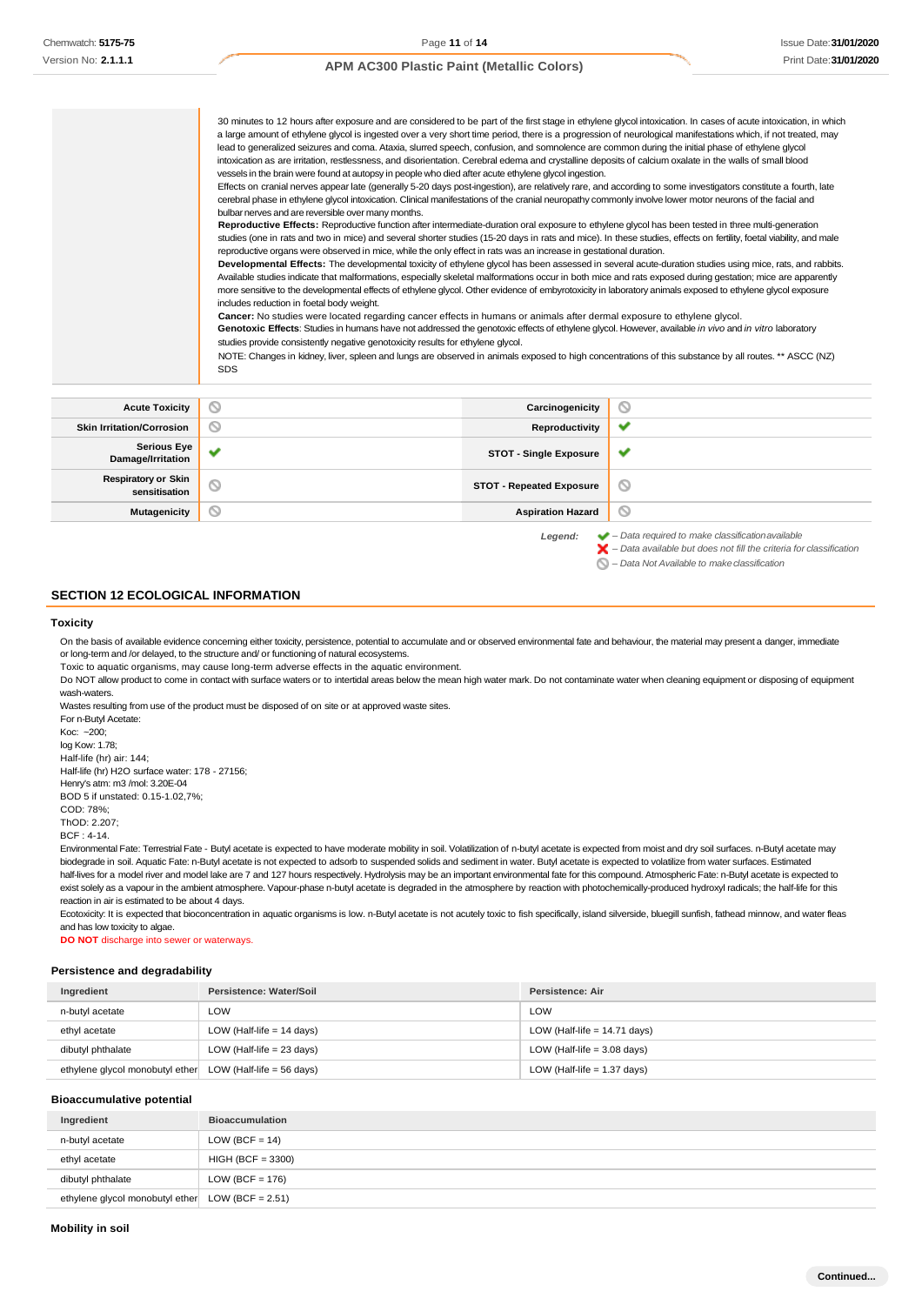30 minutes to 12 hours after exposure and are considered to be part of the first stage in ethylene glycol intoxication. In cases of acute intoxication, in which a large amount of ethylene glycol is ingested over a very short time period, there is a progression of neurological manifestations which, if not treated, may lead to generalized seizures and coma. Ataxia, slurred speech, confusion, and somnolence are common during the initial phase of ethylene glycol intoxication as are irritation, restlessness, and disorientation. Cerebral edema and crystalline deposits of calcium oxalate in the walls of small blood vessels in the brain were found at autopsy in people who died after acute ethylene glycol ingestion.

Effects on cranial nerves appear late (generally 5-20 days post-ingestion), are relatively rare, and according to some investigators constitute a fourth, late cerebral phase in ethylene glycol intoxication. Clinical manifestations of the cranial neuropathy commonly involve lower motor neurons of the facial and bulbar nerves and are reversible over many months.

**Reproductive Effects:** Reproductive function after intermediate-duration oral exposure to ethylene glycol has been tested in three multi-generation studies (one in rats and two in mice) and several shorter studies (15-20 days in rats and mice). In these studies, effects on fertility, foetal viability, and male reproductive organs were observed in mice, while the only effect in rats was an increase in gestational duration.

**Developmental Effects:** The developmental toxicity of ethylene glycol has been assessed in several acute-duration studies using mice, rats, and rabbits. Available studies indicate that malformations, especially skeletal malformations occur in both mice and rats exposed during gestation; mice are apparently more sensitive to the developmental effects of ethylene glycol. Other evidence of embyrotoxicity in laboratory animals exposed to ethylene glycol exposure includes reduction in foetal body weight.

**Cancer:** No studies were located regarding cancer effects in humans or animals after dermal exposure to ethylene glycol.

**Genotoxic Effects**: Studies in humans have not addressed the genotoxic effects of ethylene glycol. However, available *in vivo* and *in vitro* laboratory studies provide consistently negative genotoxicity results for ethylene glycol.

NOTE: Changes in kidney, liver, spleen and lungs are observed in animals exposed to high concentrations of this substance by all routes. \*\* ASCC (NZ) SDS

| <b>Acute Toxicity</b>                       | $\circ$      | Carcinogenicity                 | $\circ$                                                                                                                                                                                                                                                                                                                                                                                                                                                      |
|---------------------------------------------|--------------|---------------------------------|--------------------------------------------------------------------------------------------------------------------------------------------------------------------------------------------------------------------------------------------------------------------------------------------------------------------------------------------------------------------------------------------------------------------------------------------------------------|
| <b>Skin Irritation/Corrosion</b>            | $\circ$      | Reproductivity                  | $\checkmark$                                                                                                                                                                                                                                                                                                                                                                                                                                                 |
| Serious Eye<br>Damage/Irritation            | $\checkmark$ | <b>STOT - Single Exposure</b>   | ✔                                                                                                                                                                                                                                                                                                                                                                                                                                                            |
| <b>Respiratory or Skin</b><br>sensitisation | $\circ$      | <b>STOT - Repeated Exposure</b> | O                                                                                                                                                                                                                                                                                                                                                                                                                                                            |
| <b>Mutagenicity</b>                         | $\circ$      | <b>Aspiration Hazard</b>        | O                                                                                                                                                                                                                                                                                                                                                                                                                                                            |
|                                             |              |                                 | $\mathcal{L} = \mathcal{L} = \mathcal{L} = \mathcal{L} = \mathcal{L} = \mathcal{L} = \mathcal{L} = \mathcal{L} = \mathcal{L} = \mathcal{L} = \mathcal{L} = \mathcal{L} = \mathcal{L} = \mathcal{L} = \mathcal{L} = \mathcal{L} = \mathcal{L} = \mathcal{L} = \mathcal{L} = \mathcal{L} = \mathcal{L} = \mathcal{L} = \mathcal{L} = \mathcal{L} = \mathcal{L} = \mathcal{L} = \mathcal{L} = \mathcal{L} = \mathcal{L} = \mathcal{L} = \mathcal{L} = \mathcal$ |

*Legend: – Data required to make classificationavailable – Data available but does not fill the criteria for classification*

*– Data Not Available to makeclassification*

#### **SECTION 12 ECOLOGICAL INFORMATION**

#### **Toxicity**

On the basis of available evidence concerning either toxicity, persistence, potential to accumulate and or observed environmental fate and behaviour, the material may present a danger, immediate or long-term and /or delayed, to the structure and/ or functioning of natural ecosystems.

Toxic to aquatic organisms, may cause long-term adverse effects in the aquatic environment.

Do NOT allow product to come in contact with surface waters or to intertidal areas below the mean high water mark. Do not contaminate water when cleaning equipment or disposing of equipment wash-waters.

Wastes resulting from use of the product must be disposed of on site or at approved waste sites.

For n-Butyl Acetate: Koc: ~200; log Kow: 1.78; Half-life (hr) air: 144; Half-life (hr) H2O surface water: 178 - 27156; Henry's atm: m3 /mol: 3.20E-04 BOD 5 if unstated: 0.15-1.02,7%; COD: 78%;

ThOD: 2.207;

BCF : 4-14.

Environmental Fate: Terrestrial Fate - Butyl acetate is expected to have moderate mobility in soil. Volatilization of n-butyl acetate is expected from moist and dry soil surfaces. n-Butyl acetate may biodegrade in soil. Aquatic Fate: n-Butyl acetate is not expected to adsorb to suspended solids and sediment in water. Butyl acetate is expected to volatilize from water surfaces. Estimated half-lives for a model river and model lake are 7 and 127 hours respectively. Hydrolysis may be an important environmental fate for this compound. Atmospheric Fate: n-Butyl acetate is expected to exist solely as a vapour in the ambient atmosphere. Vapour-phase n-butyl acetate is degraded in the atmosphere by reaction with photochemically-produced hydroxyl radicals; the half-life for this reaction in air is estimated to be about 4 days.

Ecotoxicity: It is expected that bioconcentration in aquatic organisms is low. n-Butyl acetate is not acutely toxic to fish specifically, island silverside, bluegill sunfish, fathead minnow, and water fleas and has low toxicity to algae.

**DO NOT** discharge into sewer or waterways.

#### **Persistence and degradability**

| Ingredient                                                | Persistence: Water/Soil     | Persistence: Air               |
|-----------------------------------------------------------|-----------------------------|--------------------------------|
| n-butyl acetate                                           | ∟OW                         | LOW                            |
| ethyl acetate                                             | LOW (Half-life $= 14$ days) | LOW (Half-life $= 14.71$ days) |
| dibutyl phthalate                                         | LOW (Half-life $= 23$ days) | LOW (Half-life $=$ 3.08 days)  |
| ethylene glycol monobutyl ether LOW (Half-life = 56 days) |                             | LOW (Half-life $= 1.37$ days)  |

#### **Bioaccumulative potential**

| Ingredient                                          | <b>Bioaccumulation</b> |
|-----------------------------------------------------|------------------------|
| n-butyl acetate                                     | LOW (BCF = $14$ )      |
| ethyl acetate                                       | $HIGH (BCF = 3300)$    |
| dibutyl phthalate                                   | LOW (BCF = $176$ )     |
| ethylene glycol monobutyl ether LOW (BCF = $2.51$ ) |                        |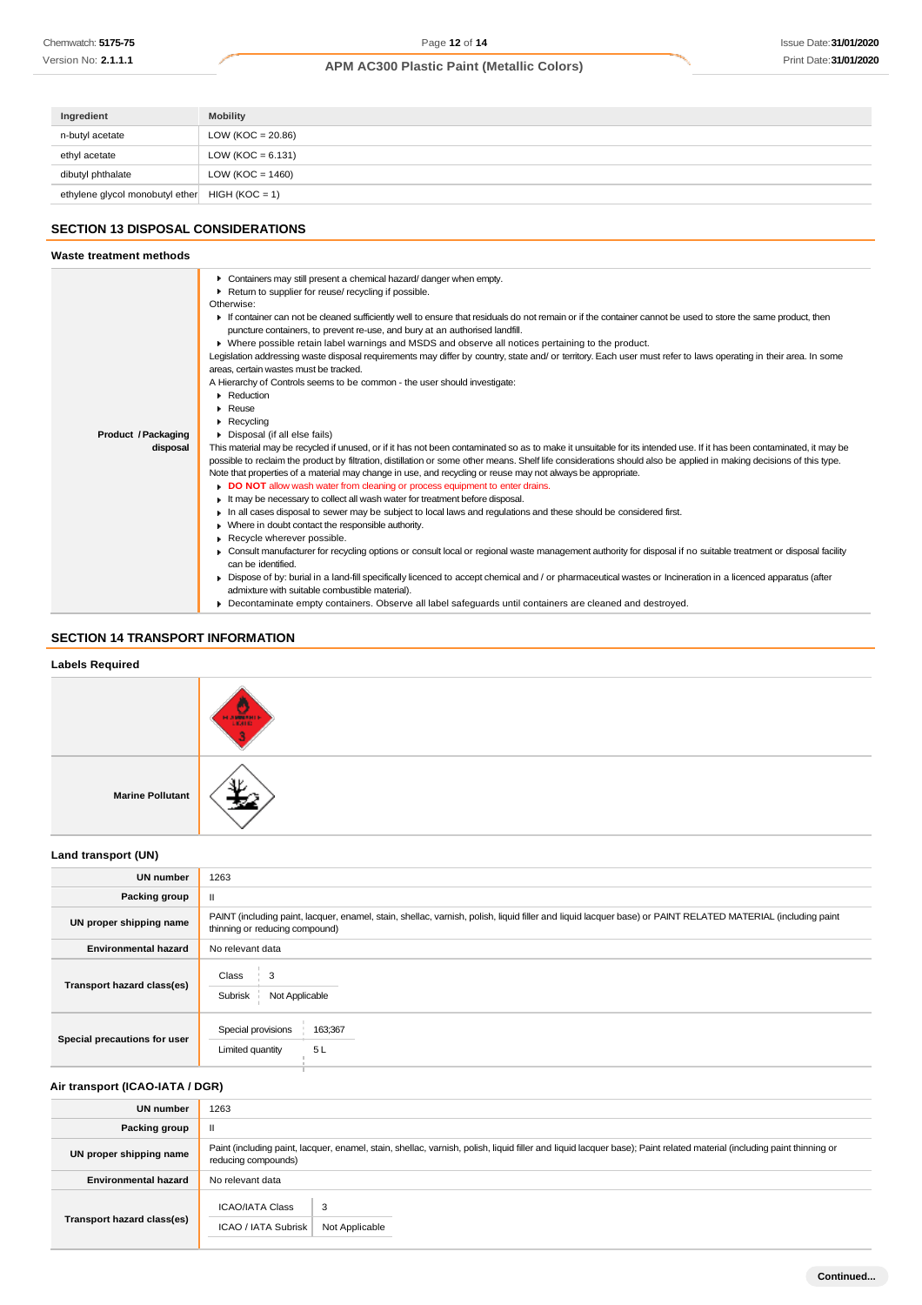| Ingredient                      | <b>Mobility</b>      |
|---------------------------------|----------------------|
| n-butyl acetate                 | LOW (KOC = $20.86$ ) |
| ethyl acetate                   | LOW (KOC = $6.131$ ) |
| dibutyl phthalate               | LOW ( $KOC = 1460$ ) |
| ethylene glycol monobutyl ether | $HIGH (KOC = 1)$     |

# **SECTION 13 DISPOSAL CONSIDERATIONS**

# **SECTION 14 TRANSPORT INFORMATION**

# **Labels Required Marine Pollutant**

# **Land transport (UN)**

| <b>UN number</b>             | 1263                                                                                                                                                                                          |  |  |
|------------------------------|-----------------------------------------------------------------------------------------------------------------------------------------------------------------------------------------------|--|--|
| Packing group                | $\mathbf{II}$                                                                                                                                                                                 |  |  |
| UN proper shipping name      | PAINT (including paint, lacquer, enamel, stain, shellac, varnish, polish, liquid filler and liquid lacquer base) or PAINT RELATED MATERIAL (including paint<br>thinning or reducing compound) |  |  |
| <b>Environmental hazard</b>  | No relevant data                                                                                                                                                                              |  |  |
| Transport hazard class(es)   | Class<br>3<br>Subrisk<br>Not Applicable                                                                                                                                                       |  |  |
| Special precautions for user | 163;367<br>Special provisions<br>5L<br>Limited quantity                                                                                                                                       |  |  |

# **Air transport (ICAO-IATA / DGR)**

| <b>UN number</b>            | 1263                                                                                                                                                                                         |  |
|-----------------------------|----------------------------------------------------------------------------------------------------------------------------------------------------------------------------------------------|--|
| Packing group               |                                                                                                                                                                                              |  |
| UN proper shipping name     | Paint (including paint, lacquer, enamel, stain, shellac, varnish, polish, liquid filler and liquid lacquer base); Paint related material (including paint thinning or<br>reducing compounds) |  |
| <b>Environmental hazard</b> | No relevant data                                                                                                                                                                             |  |
| Transport hazard class(es)  | <b>ICAO/IATA Class</b><br>3<br>ICAO / IATA Subrisk<br>Not Applicable                                                                                                                         |  |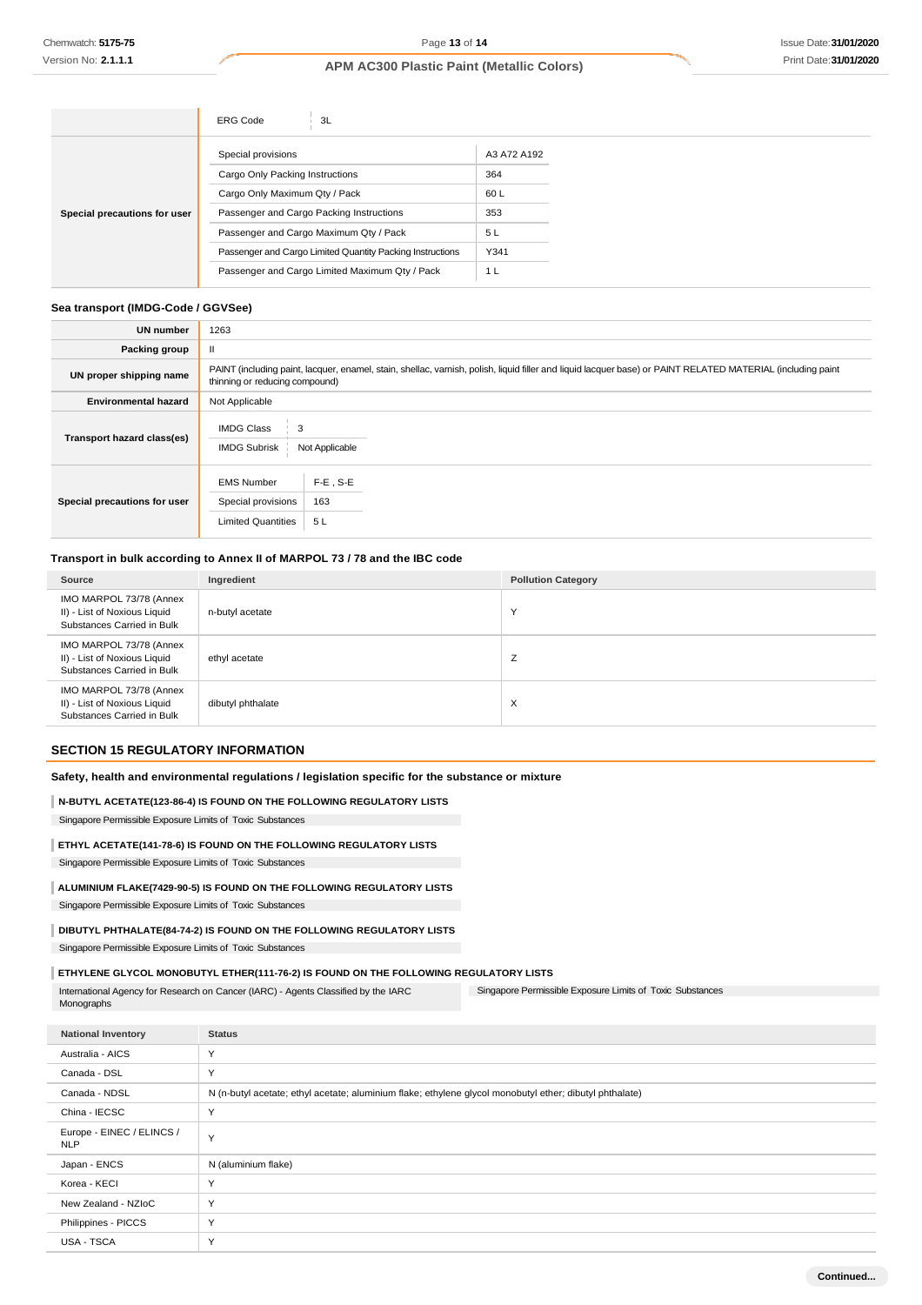|                              | <b>ERG Code</b><br>3L                                     |             |
|------------------------------|-----------------------------------------------------------|-------------|
| Special precautions for user | Special provisions                                        | A3 A72 A192 |
|                              | Cargo Only Packing Instructions                           | 364         |
|                              | Cargo Only Maximum Qty / Pack                             | 60 L        |
|                              | Passenger and Cargo Packing Instructions                  | 353         |
|                              | Passenger and Cargo Maximum Qty / Pack                    | 5 L         |
|                              | Passenger and Cargo Limited Quantity Packing Instructions | Y341        |
|                              | Passenger and Cargo Limited Maximum Qty / Pack            | 1 L         |

## **Sea transport (IMDG-Code / GGVSee)**

| <b>UN number</b>             | 1263                                                                                                                                                                                          |  |  |
|------------------------------|-----------------------------------------------------------------------------------------------------------------------------------------------------------------------------------------------|--|--|
| Packing group                |                                                                                                                                                                                               |  |  |
| UN proper shipping name      | PAINT (including paint, lacquer, enamel, stain, shellac, varnish, polish, liquid filler and liquid lacquer base) or PAINT RELATED MATERIAL (including paint<br>thinning or reducing compound) |  |  |
| <b>Environmental hazard</b>  | Not Applicable                                                                                                                                                                                |  |  |
| Transport hazard class(es)   | <b>IMDG Class</b><br><b>IMDG Subrisk</b><br>Not Applicable                                                                                                                                    |  |  |
| Special precautions for user | $F-E$ , S-E<br><b>EMS Number</b><br>163<br>Special provisions<br><b>Limited Quantities</b><br>5L                                                                                              |  |  |

# **Transport in bulk according to Annex II of MARPOL 73 / 78 and the IBC code**

| Source                                                                                | Ingredient        | <b>Pollution Category</b> |
|---------------------------------------------------------------------------------------|-------------------|---------------------------|
| IMO MARPOL 73/78 (Annex<br>II) - List of Noxious Liquid<br>Substances Carried in Bulk | n-butyl acetate   | $\checkmark$              |
| IMO MARPOL 73/78 (Annex<br>II) - List of Noxious Liquid<br>Substances Carried in Bulk | ethyl acetate     | Z                         |
| IMO MARPOL 73/78 (Annex<br>II) - List of Noxious Liquid<br>Substances Carried in Bulk | dibutyl phthalate | X                         |

## **SECTION 15 REGULATORY INFORMATION**

## **Safety, health and environmental regulations / legislation specific for the substance or mixture**

#### **N-BUTYL ACETATE(123-86-4) IS FOUND ON THE FOLLOWING REGULATORY LISTS**

Singapore Permissible Exposure Limits of Toxic Substances

## **ETHYL ACETATE(141-78-6) IS FOUND ON THE FOLLOWING REGULATORY LISTS**

Singapore Permissible Exposure Limits of Toxic Substances

#### **ALUMINIUM FLAKE(7429-90-5) IS FOUND ON THE FOLLOWING REGULATORY LISTS**

Singapore Permissible Exposure Limits of Toxic Substances

# **DIBUTYL PHTHALATE(84-74-2) IS FOUND ON THE FOLLOWING REGULATORY LISTS**

Singapore Permissible Exposure Limits of Toxic Substances

## **ETHYLENE GLYCOL MONOBUTYL ETHER(111-76-2) IS FOUND ON THE FOLLOWING REGULATORY LISTS**

Singapore Permissible Exposure Limits of Toxic Substances International Agency for Research on Cancer (IARC) - Agents Classified by the IARC Monographs

| <b>National Inventory</b>               | <b>Status</b>                                                                                           |
|-----------------------------------------|---------------------------------------------------------------------------------------------------------|
| Australia - AICS                        | Y                                                                                                       |
| Canada - DSL                            | Y                                                                                                       |
| Canada - NDSL                           | N (n-butyl acetate; ethyl acetate; aluminium flake; ethylene glycol monobutyl ether; dibutyl phthalate) |
| China - IECSC                           | Y                                                                                                       |
| Europe - EINEC / ELINCS /<br><b>NLP</b> | Y                                                                                                       |
| Japan - ENCS                            | N (aluminium flake)                                                                                     |
| Korea - KECI                            | Y                                                                                                       |
| New Zealand - NZIoC                     | Y                                                                                                       |
| Philippines - PICCS                     | Y                                                                                                       |
| <b>USA - TSCA</b>                       | Y                                                                                                       |